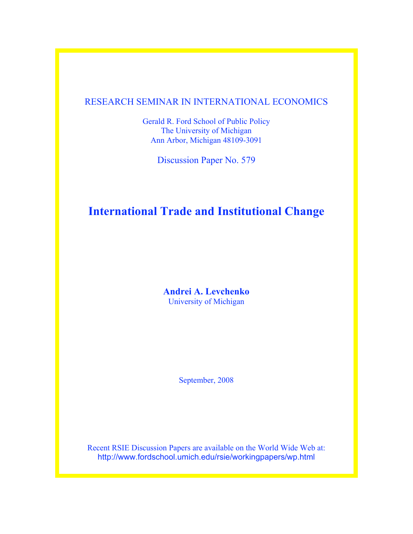## RESEARCH SEMINAR IN INTERNATIONAL ECONOMICS

Gerald R. Ford School of Public Policy The University of Michigan Ann Arbor, Michigan 48109-3091

Discussion Paper No. 579

# **International Trade and Institutional Change**

**Andrei A. Levchenko** University of Michigan

September, 2008

Recent RSIE Discussion Papers are available on the World Wide Web at: http://www.fordschool.umich.edu/rsie/workingpapers/wp.html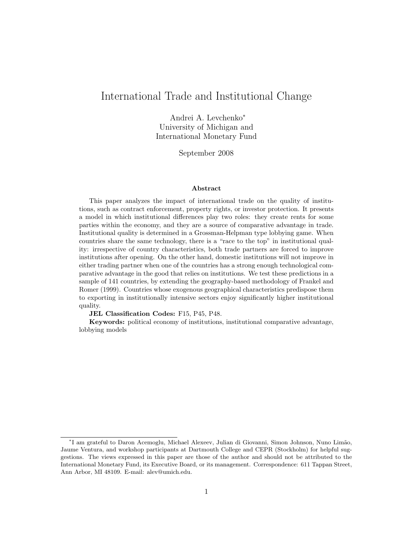## International Trade and Institutional Change

Andrei A. Levchenko<sup>∗</sup> University of Michigan and International Monetary Fund

September 2008

#### Abstract

This paper analyzes the impact of international trade on the quality of institutions, such as contract enforcement, property rights, or investor protection. It presents a model in which institutional differences play two roles: they create rents for some parties within the economy, and they are a source of comparative advantage in trade. Institutional quality is determined in a Grossman-Helpman type lobbying game. When countries share the same technology, there is a "race to the top" in institutional quality: irrespective of country characteristics, both trade partners are forced to improve institutions after opening. On the other hand, domestic institutions will not improve in either trading partner when one of the countries has a strong enough technological comparative advantage in the good that relies on institutions. We test these predictions in a sample of 141 countries, by extending the geography-based methodology of Frankel and Romer (1999). Countries whose exogenous geographical characteristics predispose them to exporting in institutionally intensive sectors enjoy significantly higher institutional quality.

JEL Classification Codes: F15, P45, P48.

Keywords: political economy of institutions, institutional comparative advantage, lobbying models

<sup>\*</sup>I am grateful to Daron Acemoglu, Michael Alexeev, Julian di Giovanni, Simon Johnson, Nuno Limão, Jaume Ventura, and workshop participants at Dartmouth College and CEPR (Stockholm) for helpful suggestions. The views expressed in this paper are those of the author and should not be attributed to the International Monetary Fund, its Executive Board, or its management. Correspondence: 611 Tappan Street, Ann Arbor, MI 48109. E-mail: alev@umich.edu.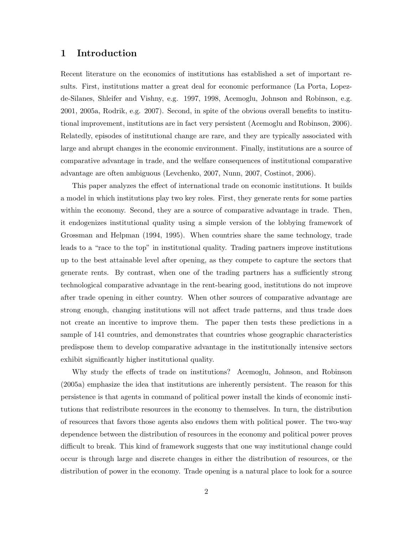## 1 Introduction

Recent literature on the economics of institutions has established a set of important results. First, institutions matter a great deal for economic performance (La Porta, Lopezde-Silanes, Shleifer and Vishny, e.g. 1997, 1998, Acemoglu, Johnson and Robinson, e.g. 2001, 2005a, Rodrik, e.g. 2007). Second, in spite of the obvious overall benefits to institutional improvement, institutions are in fact very persistent (Acemoglu and Robinson, 2006). Relatedly, episodes of institutional change are rare, and they are typically associated with large and abrupt changes in the economic environment. Finally, institutions are a source of comparative advantage in trade, and the welfare consequences of institutional comparative advantage are often ambiguous (Levchenko, 2007, Nunn, 2007, Costinot, 2006).

This paper analyzes the effect of international trade on economic institutions. It builds a model in which institutions play two key roles. First, they generate rents for some parties within the economy. Second, they are a source of comparative advantage in trade. Then, it endogenizes institutional quality using a simple version of the lobbying framework of Grossman and Helpman (1994, 1995). When countries share the same technology, trade leads to a "race to the top" in institutional quality. Trading partners improve institutions up to the best attainable level after opening, as they compete to capture the sectors that generate rents. By contrast, when one of the trading partners has a sufficiently strong technological comparative advantage in the rent-bearing good, institutions do not improve after trade opening in either country. When other sources of comparative advantage are strong enough, changing institutions will not affect trade patterns, and thus trade does not create an incentive to improve them. The paper then tests these predictions in a sample of 141 countries, and demonstrates that countries whose geographic characteristics predispose them to develop comparative advantage in the institutionally intensive sectors exhibit significantly higher institutional quality.

Why study the effects of trade on institutions? Acemoglu, Johnson, and Robinson (2005a) emphasize the idea that institutions are inherently persistent. The reason for this persistence is that agents in command of political power install the kinds of economic institutions that redistribute resources in the economy to themselves. In turn, the distribution of resources that favors those agents also endows them with political power. The two-way dependence between the distribution of resources in the economy and political power proves difficult to break. This kind of framework suggests that one way institutional change could occur is through large and discrete changes in either the distribution of resources, or the distribution of power in the economy. Trade opening is a natural place to look for a source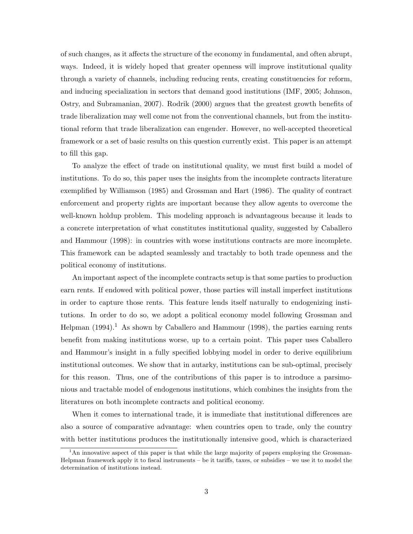of such changes, as it affects the structure of the economy in fundamental, and often abrupt, ways. Indeed, it is widely hoped that greater openness will improve institutional quality through a variety of channels, including reducing rents, creating constituencies for reform, and inducing specialization in sectors that demand good institutions (IMF, 2005; Johnson, Ostry, and Subramanian, 2007). Rodrik (2000) argues that the greatest growth benefits of trade liberalization may well come not from the conventional channels, but from the institutional reform that trade liberalization can engender. However, no well-accepted theoretical framework or a set of basic results on this question currently exist. This paper is an attempt to fill this gap.

To analyze the effect of trade on institutional quality, we must first build a model of institutions. To do so, this paper uses the insights from the incomplete contracts literature exemplified by Williamson (1985) and Grossman and Hart (1986). The quality of contract enforcement and property rights are important because they allow agents to overcome the well-known holdup problem. This modeling approach is advantageous because it leads to a concrete interpretation of what constitutes institutional quality, suggested by Caballero and Hammour (1998): in countries with worse institutions contracts are more incomplete. This framework can be adapted seamlessly and tractably to both trade openness and the political economy of institutions.

An important aspect of the incomplete contracts setup is that some parties to production earn rents. If endowed with political power, those parties will install imperfect institutions in order to capture those rents. This feature lends itself naturally to endogenizing institutions. In order to do so, we adopt a political economy model following Grossman and Helpman  $(1994).$ <sup>1</sup> As shown by Caballero and Hammour  $(1998)$ , the parties earning rents benefit from making institutions worse, up to a certain point. This paper uses Caballero and Hammour's insight in a fully specified lobbying model in order to derive equilibrium institutional outcomes. We show that in autarky, institutions can be sub-optimal, precisely for this reason. Thus, one of the contributions of this paper is to introduce a parsimonious and tractable model of endogenous institutions, which combines the insights from the literatures on both incomplete contracts and political economy.

When it comes to international trade, it is immediate that institutional differences are also a source of comparative advantage: when countries open to trade, only the country with better institutions produces the institutionally intensive good, which is characterized

<sup>&</sup>lt;sup>1</sup>An innovative aspect of this paper is that while the large majority of papers employing the Grossman-Helpman framework apply it to fiscal instruments – be it tariffs, taxes, or subsidies – we use it to model the determination of institutions instead.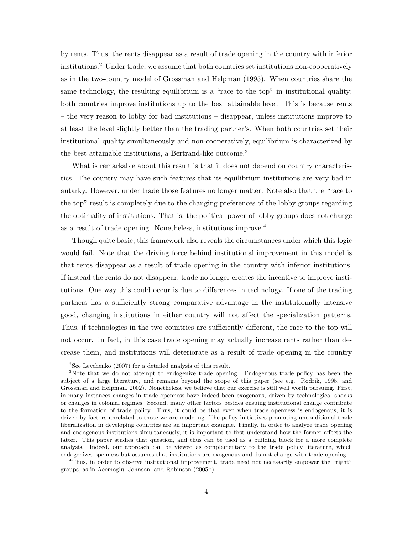by rents. Thus, the rents disappear as a result of trade opening in the country with inferior institutions.<sup>2</sup> Under trade, we assume that both countries set institutions non-cooperatively as in the two-country model of Grossman and Helpman (1995). When countries share the same technology, the resulting equilibrium is a "race to the top" in institutional quality: both countries improve institutions up to the best attainable level. This is because rents – the very reason to lobby for bad institutions – disappear, unless institutions improve to at least the level slightly better than the trading partner's. When both countries set their institutional quality simultaneously and non-cooperatively, equilibrium is characterized by the best attainable institutions, a Bertrand-like outcome.<sup>3</sup>

What is remarkable about this result is that it does not depend on country characteristics. The country may have such features that its equilibrium institutions are very bad in autarky. However, under trade those features no longer matter. Note also that the "race to the top" result is completely due to the changing preferences of the lobby groups regarding the optimality of institutions. That is, the political power of lobby groups does not change as a result of trade opening. Nonetheless, institutions improve.<sup>4</sup>

Though quite basic, this framework also reveals the circumstances under which this logic would fail. Note that the driving force behind institutional improvement in this model is that rents disappear as a result of trade opening in the country with inferior institutions. If instead the rents do not disappear, trade no longer creates the incentive to improve institutions. One way this could occur is due to differences in technology. If one of the trading partners has a sufficiently strong comparative advantage in the institutionally intensive good, changing institutions in either country will not affect the specialization patterns. Thus, if technologies in the two countries are sufficiently different, the race to the top will not occur. In fact, in this case trade opening may actually increase rents rather than decrease them, and institutions will deteriorate as a result of trade opening in the country

<sup>4</sup>Thus, in order to observe institutional improvement, trade need not necessarily empower the "right" groups, as in Acemoglu, Johnson, and Robinson (2005b).

 $2$ See Levchenko (2007) for a detailed analysis of this result.

<sup>&</sup>lt;sup>3</sup>Note that we do not attempt to endogenize trade opening. Endogenous trade policy has been the subject of a large literature, and remains beyond the scope of this paper (see e.g. Rodrik, 1995, and Grossman and Helpman, 2002). Nonetheless, we believe that our exercise is still well worth pursuing. First, in many instances changes in trade openness have indeed been exogenous, driven by technological shocks or changes in colonial regimes. Second, many other factors besides ensuing institutional change contribute to the formation of trade policy. Thus, it could be that even when trade openness is endogenous, it is driven by factors unrelated to those we are modeling. The policy initiatives promoting unconditional trade liberalization in developing countries are an important example. Finally, in order to analyze trade opening and endogenous institutions simultaneously, it is important to first understand how the former affects the latter. This paper studies that question, and thus can be used as a building block for a more complete analysis. Indeed, our approach can be viewed as complementary to the trade policy literature, which endogenizes openness but assumes that institutions are exogenous and do not change with trade opening.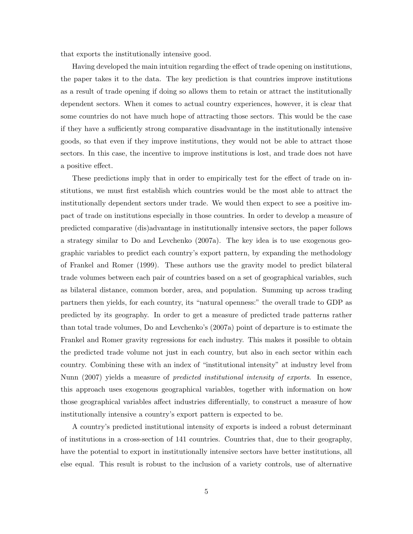that exports the institutionally intensive good.

Having developed the main intuition regarding the effect of trade opening on institutions, the paper takes it to the data. The key prediction is that countries improve institutions as a result of trade opening if doing so allows them to retain or attract the institutionally dependent sectors. When it comes to actual country experiences, however, it is clear that some countries do not have much hope of attracting those sectors. This would be the case if they have a sufficiently strong comparative disadvantage in the institutionally intensive goods, so that even if they improve institutions, they would not be able to attract those sectors. In this case, the incentive to improve institutions is lost, and trade does not have a positive effect.

These predictions imply that in order to empirically test for the effect of trade on institutions, we must first establish which countries would be the most able to attract the institutionally dependent sectors under trade. We would then expect to see a positive impact of trade on institutions especially in those countries. In order to develop a measure of predicted comparative (dis)advantage in institutionally intensive sectors, the paper follows a strategy similar to Do and Levchenko (2007a). The key idea is to use exogenous geographic variables to predict each country's export pattern, by expanding the methodology of Frankel and Romer (1999). These authors use the gravity model to predict bilateral trade volumes between each pair of countries based on a set of geographical variables, such as bilateral distance, common border, area, and population. Summing up across trading partners then yields, for each country, its "natural openness:" the overall trade to GDP as predicted by its geography. In order to get a measure of predicted trade patterns rather than total trade volumes, Do and Levchenko's (2007a) point of departure is to estimate the Frankel and Romer gravity regressions for each industry. This makes it possible to obtain the predicted trade volume not just in each country, but also in each sector within each country. Combining these with an index of "institutional intensity" at industry level from Nunn (2007) yields a measure of *predicted institutional intensity of exports*. In essence, this approach uses exogenous geographical variables, together with information on how those geographical variables affect industries differentially, to construct a measure of how institutionally intensive a country's export pattern is expected to be.

A country's predicted institutional intensity of exports is indeed a robust determinant of institutions in a cross-section of 141 countries. Countries that, due to their geography, have the potential to export in institutionally intensive sectors have better institutions, all else equal. This result is robust to the inclusion of a variety controls, use of alternative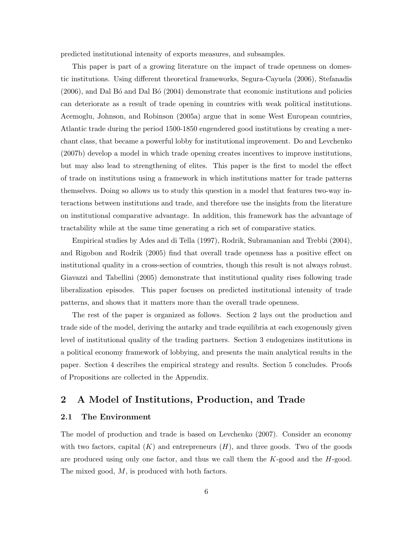predicted institutional intensity of exports measures, and subsamples.

This paper is part of a growing literature on the impact of trade openness on domestic institutions. Using different theoretical frameworks, Segura-Cayuela (2006), Stefanadis  $(2006)$ , and Dal B $\acute{o}$  and Dal B $\acute{o}$  (2004) demonstrate that economic institutions and policies can deteriorate as a result of trade opening in countries with weak political institutions. Acemoglu, Johnson, and Robinson (2005a) argue that in some West European countries, Atlantic trade during the period 1500-1850 engendered good institutions by creating a merchant class, that became a powerful lobby for institutional improvement. Do and Levchenko (2007b) develop a model in which trade opening creates incentives to improve institutions, but may also lead to strengthening of elites. This paper is the first to model the effect of trade on institutions using a framework in which institutions matter for trade patterns themselves. Doing so allows us to study this question in a model that features two-way interactions between institutions and trade, and therefore use the insights from the literature on institutional comparative advantage. In addition, this framework has the advantage of tractability while at the same time generating a rich set of comparative statics.

Empirical studies by Ades and di Tella (1997), Rodrik, Subramanian and Trebbi (2004), and Rigobon and Rodrik (2005) find that overall trade openness has a positive effect on institutional quality in a cross-section of countries, though this result is not always robust. Giavazzi and Tabellini (2005) demonstrate that institutional quality rises following trade liberalization episodes. This paper focuses on predicted institutional intensity of trade patterns, and shows that it matters more than the overall trade openness.

The rest of the paper is organized as follows. Section 2 lays out the production and trade side of the model, deriving the autarky and trade equilibria at each exogenously given level of institutional quality of the trading partners. Section 3 endogenizes institutions in a political economy framework of lobbying, and presents the main analytical results in the paper. Section 4 describes the empirical strategy and results. Section 5 concludes. Proofs of Propositions are collected in the Appendix.

## 2 A Model of Institutions, Production, and Trade

#### 2.1 The Environment

The model of production and trade is based on Levchenko (2007). Consider an economy with two factors, capital  $(K)$  and entrepreneurs  $(H)$ , and three goods. Two of the goods are produced using only one factor, and thus we call them the  $K$ -good and the  $H$ -good. The mixed good, M, is produced with both factors.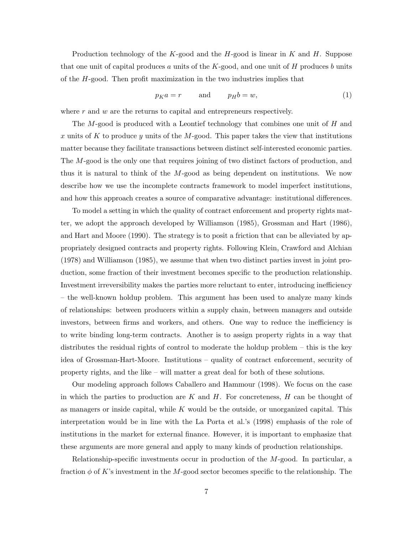Production technology of the K-good and the  $H$ -good is linear in K and H. Suppose that one unit of capital produces a units of the  $K$ -good, and one unit of  $H$  produces b units of the H-good. Then profit maximization in the two industries implies that

$$
p_K a = r \qquad \text{and} \qquad p_H b = w,\tag{1}
$$

where  $r$  and  $w$  are the returns to capital and entrepreneurs respectively.

The  $M$ -good is produced with a Leontief technology that combines one unit of  $H$  and x units of K to produce y units of the M-good. This paper takes the view that institutions matter because they facilitate transactions between distinct self-interested economic parties. The M-good is the only one that requires joining of two distinct factors of production, and thus it is natural to think of the M-good as being dependent on institutions. We now describe how we use the incomplete contracts framework to model imperfect institutions, and how this approach creates a source of comparative advantage: institutional differences.

To model a setting in which the quality of contract enforcement and property rights matter, we adopt the approach developed by Williamson (1985), Grossman and Hart (1986), and Hart and Moore (1990). The strategy is to posit a friction that can be alleviated by appropriately designed contracts and property rights. Following Klein, Crawford and Alchian (1978) and Williamson (1985), we assume that when two distinct parties invest in joint production, some fraction of their investment becomes specific to the production relationship. Investment irreversibility makes the parties more reluctant to enter, introducing inefficiency – the well-known holdup problem. This argument has been used to analyze many kinds of relationships: between producers within a supply chain, between managers and outside investors, between firms and workers, and others. One way to reduce the inefficiency is to write binding long-term contracts. Another is to assign property rights in a way that distributes the residual rights of control to moderate the holdup problem – this is the key idea of Grossman-Hart-Moore. Institutions – quality of contract enforcement, security of property rights, and the like – will matter a great deal for both of these solutions.

Our modeling approach follows Caballero and Hammour (1998). We focus on the case in which the parties to production are K and H. For concreteness,  $H$  can be thought of as managers or inside capital, while  $K$  would be the outside, or unorganized capital. This interpretation would be in line with the La Porta et al.'s (1998) emphasis of the role of institutions in the market for external finance. However, it is important to emphasize that these arguments are more general and apply to many kinds of production relationships.

Relationship-specific investments occur in production of the M-good. In particular, a fraction  $\phi$  of K's investment in the M-good sector becomes specific to the relationship. The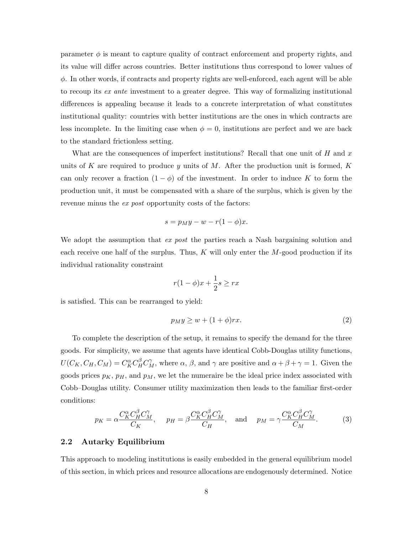parameter  $\phi$  is meant to capture quality of contract enforcement and property rights, and its value will differ across countries. Better institutions thus correspond to lower values of  $\phi$ . In other words, if contracts and property rights are well-enforced, each agent will be able to recoup its ex ante investment to a greater degree. This way of formalizing institutional differences is appealing because it leads to a concrete interpretation of what constitutes institutional quality: countries with better institutions are the ones in which contracts are less incomplete. In the limiting case when  $\phi = 0$ , institutions are perfect and we are back to the standard frictionless setting.

What are the consequences of imperfect institutions? Recall that one unit of  $H$  and  $x$ units of K are required to produce y units of M. After the production unit is formed,  $K$ can only recover a fraction  $(1 - \phi)$  of the investment. In order to induce K to form the production unit, it must be compensated with a share of the surplus, which is given by the revenue minus the *ex post* opportunity costs of the factors:

$$
s = p_M y - w - r(1 - \phi)x.
$$

We adopt the assumption that ex post the parties reach a Nash bargaining solution and each receive one half of the surplus. Thus,  $K$  will only enter the M-good production if its individual rationality constraint

$$
r(1 - \phi)x + \frac{1}{2}s \ge rx
$$

is satisfied. This can be rearranged to yield:

$$
p_M y \ge w + (1 + \phi) r x. \tag{2}
$$

To complete the description of the setup, it remains to specify the demand for the three goods. For simplicity, we assume that agents have identical Cobb-Douglas utility functions,  $U(C_K, C_H, C_M) = C_K^{\alpha} C_H^{\beta} C_M^{\gamma}$ , where  $\alpha, \beta$ , and  $\gamma$  are positive and  $\alpha + \beta + \gamma = 1$ . Given the goods prices  $p<sub>K</sub>$ ,  $p<sub>H</sub>$ , and  $p<sub>M</sub>$ , we let the numeraire be the ideal price index associated with Cobb–Douglas utility. Consumer utility maximization then leads to the familiar first-order conditions:

$$
p_K = \alpha \frac{C_K^{\alpha} C_H^{\beta} C_M^{\gamma}}{C_K}, \quad p_H = \beta \frac{C_K^{\alpha} C_H^{\beta} C_M^{\gamma}}{C_H}, \quad \text{and} \quad p_M = \gamma \frac{C_K^{\alpha} C_H^{\beta} C_M^{\gamma}}{C_M}.
$$
 (3)

#### 2.2 Autarky Equilibrium

This approach to modeling institutions is easily embedded in the general equilibrium model of this section, in which prices and resource allocations are endogenously determined. Notice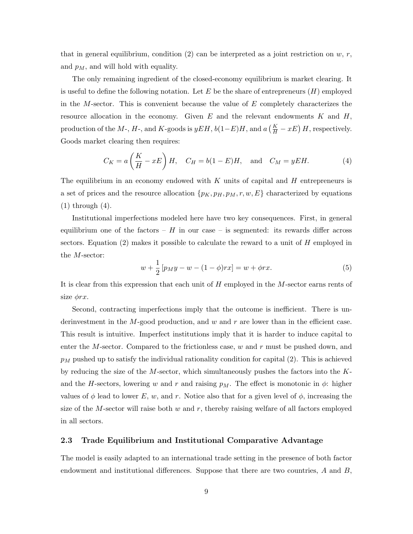that in general equilibrium, condition (2) can be interpreted as a joint restriction on  $w, r$ , and  $p_M$ , and will hold with equality.

The only remaining ingredient of the closed-economy equilibrium is market clearing. It is useful to define the following notation. Let E be the share of entrepreneurs  $(H)$  employed in the M-sector. This is convenient because the value of  $E$  completely characterizes the resource allocation in the economy. Given E and the relevant endowments K and  $H$ , production of the M-, H-, and K-goods is  $yEH$ ,  $b(1-E)H$ , and  $a(\frac{K}{H} - xE)H$ , respectively. Goods market clearing then requires:

$$
C_K = a\left(\frac{K}{H} - xE\right)H, \quad C_H = b(1 - E)H, \text{ and } C_M = yEH.
$$
 (4)

The equilibrium in an economy endowed with  $K$  units of capital and  $H$  entrepreneurs is a set of prices and the resource allocation  $\{p_K, p_H, p_M, r, w, E\}$  characterized by equations  $(1)$  through  $(4)$ .

Institutional imperfections modeled here have two key consequences. First, in general equilibrium one of the factors –  $H$  in our case – is segmented: its rewards differ across sectors. Equation  $(2)$  makes it possible to calculate the reward to a unit of H employed in the M-sector:

$$
w + \frac{1}{2} [p_M y - w - (1 - \phi) r x] = w + \phi r x.
$$
 (5)

It is clear from this expression that each unit of H employed in the M-sector earns rents of size  $\phi rx$ .

Second, contracting imperfections imply that the outcome is inefficient. There is underinvestment in the  $M$ -good production, and  $w$  and  $r$  are lower than in the efficient case. This result is intuitive. Imperfect institutions imply that it is harder to induce capital to enter the M-sector. Compared to the frictionless case,  $w$  and  $r$  must be pushed down, and  $p_M$  pushed up to satisfy the individual rationality condition for capital (2). This is achieved by reducing the size of the  $M$ -sector, which simultaneously pushes the factors into the  $K$ and the H-sectors, lowering w and r and raising  $p_M$ . The effect is monotonic in  $\phi$ : higher values of  $\phi$  lead to lower E, w, and r. Notice also that for a given level of  $\phi$ , increasing the size of the M-sector will raise both  $w$  and  $r$ , thereby raising welfare of all factors employed in all sectors.

#### 2.3 Trade Equilibrium and Institutional Comparative Advantage

The model is easily adapted to an international trade setting in the presence of both factor endowment and institutional differences. Suppose that there are two countries,  $A$  and  $B$ ,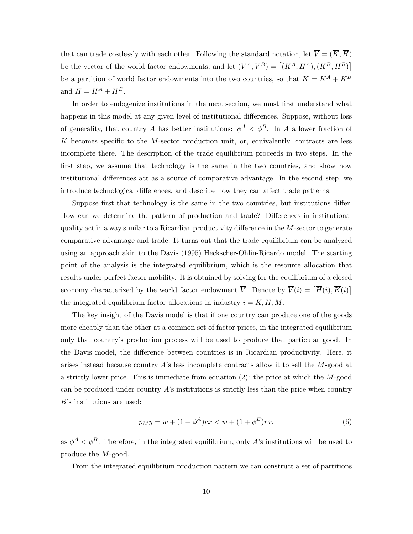that can trade costlessly with each other. Following the standard notation, let  $\overline{V} = (\overline{K}, \overline{H})$ be the vector of the world factor endowments, and let  $(V^A, V^B) = [(K^A, H^A), (K^B, H^B)]$ be a partition of world factor endowments into the two countries, so that  $\overline{K} = K^A + K^B$ and  $\overline{H} = H^A + H^B.$ 

In order to endogenize institutions in the next section, we must first understand what happens in this model at any given level of institutional differences. Suppose, without loss of generality, that country A has better institutions:  $\phi^A < \phi^B$ . In A a lower fraction of  $K$  becomes specific to the  $M$ -sector production unit, or, equivalently, contracts are less incomplete there. The description of the trade equilibrium proceeds in two steps. In the first step, we assume that technology is the same in the two countries, and show how institutional differences act as a source of comparative advantage. In the second step, we introduce technological differences, and describe how they can affect trade patterns.

Suppose first that technology is the same in the two countries, but institutions differ. How can we determine the pattern of production and trade? Differences in institutional quality act in a way similar to a Ricardian productivity difference in the M-sector to generate comparative advantage and trade. It turns out that the trade equilibrium can be analyzed using an approach akin to the Davis (1995) Heckscher-Ohlin-Ricardo model. The starting point of the analysis is the integrated equilibrium, which is the resource allocation that results under perfect factor mobility. It is obtained by solving for the equilibrium of a closed economy characterized by the world factor endowment  $\overline{V}$ . Denote by  $\overline{V}(i) = [\overline{H}(i), \overline{K}(i)]$ the integrated equilibrium factor allocations in industry  $i = K, H, M$ .

The key insight of the Davis model is that if one country can produce one of the goods more cheaply than the other at a common set of factor prices, in the integrated equilibrium only that country's production process will be used to produce that particular good. In the Davis model, the difference between countries is in Ricardian productivity. Here, it arises instead because country A's less incomplete contracts allow it to sell the M-good at a strictly lower price. This is immediate from equation  $(2)$ : the price at which the M-good can be produced under country  $A$ 's institutions is strictly less than the price when country B's institutions are used:

$$
p_M y = w + (1 + \phi^A)rx < w + (1 + \phi^B)rx,\tag{6}
$$

as  $\phi^A < \phi^B$ . Therefore, in the integrated equilibrium, only A's institutions will be used to produce the M-good.

From the integrated equilibrium production pattern we can construct a set of partitions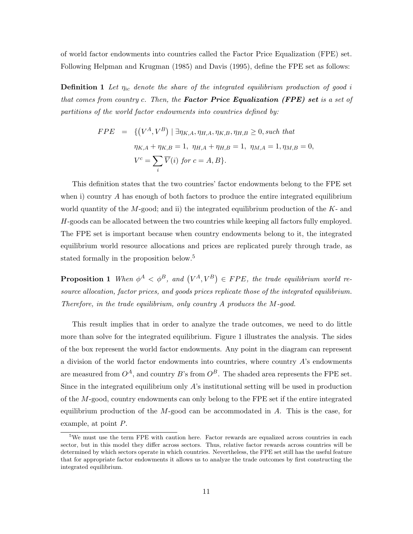of world factor endowments into countries called the Factor Price Equalization (FPE) set. Following Helpman and Krugman (1985) and Davis (1995), define the FPE set as follows:

**Definition 1** Let  $\eta_{ic}$  denote the share of the integrated equilibrium production of good i that comes from country c. Then, the **Factor Price Equalization (FPE) set** is a set of partitions of the world factor endowments into countries defined by:

$$
FPE = \{ (V^A, V^B) \mid \exists \eta_{K,A}, \eta_{H,A}, \eta_{K,B}, \eta_{H,B} \ge 0, \text{ such that}
$$
  

$$
\eta_{K,A} + \eta_{K,B} = 1, \ \eta_{H,A} + \eta_{H,B} = 1, \ \eta_{M,A} = 1, \eta_{M,B} = 0,
$$
  

$$
V^c = \sum_i \overline{V}(i) \text{ for } c = A, B \}.
$$

This definition states that the two countries' factor endowments belong to the FPE set when i) country A has enough of both factors to produce the entire integrated equilibrium world quantity of the  $M$ -good; and ii) the integrated equilibrium production of the  $K$ - and H-goods can be allocated between the two countries while keeping all factors fully employed. The FPE set is important because when country endowments belong to it, the integrated equilibrium world resource allocations and prices are replicated purely through trade, as stated formally in the proposition below.<sup>5</sup>

**Proposition 1** When  $\phi^A < \phi^B$ , and  $(V^A, V^B) \in FPE$ , the trade equilibrium world resource allocation, factor prices, and goods prices replicate those of the integrated equilibrium. Therefore, in the trade equilibrium, only country A produces the M-good.

This result implies that in order to analyze the trade outcomes, we need to do little more than solve for the integrated equilibrium. Figure 1 illustrates the analysis. The sides of the box represent the world factor endowments. Any point in the diagram can represent a division of the world factor endowments into countries, where country  $A$ 's endowments are measured from  $O^A$ , and country B's from  $O^B$ . The shaded area represents the FPE set. Since in the integrated equilibrium only  $A$ 's institutional setting will be used in production of the M-good, country endowments can only belong to the FPE set if the entire integrated equilibrium production of the  $M$ -good can be accommodated in  $A$ . This is the case, for example, at point P.

<sup>&</sup>lt;sup>5</sup>We must use the term FPE with caution here. Factor rewards are equalized across countries in each sector, but in this model they differ across sectors. Thus, relative factor rewards across countries will be determined by which sectors operate in which countries. Nevertheless, the FPE set still has the useful feature that for appropriate factor endowments it allows us to analyze the trade outcomes by first constructing the integrated equilibrium.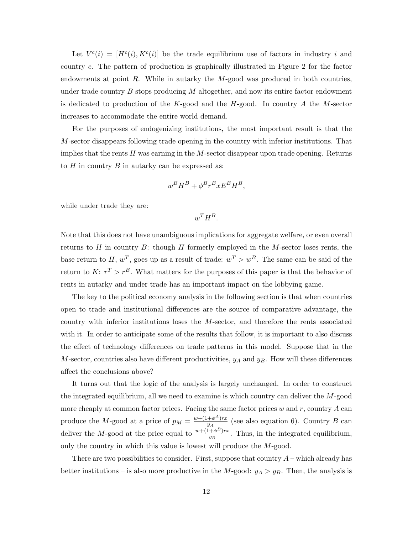Let  $V^{c}(i) = [H^{c}(i), K^{c}(i)]$  be the trade equilibrium use of factors in industry i and country c. The pattern of production is graphically illustrated in Figure 2 for the factor endowments at point R. While in autarky the  $M$ -good was produced in both countries, under trade country  $B$  stops producing  $M$  altogether, and now its entire factor endowment is dedicated to production of the K-good and the H-good. In country A the M-sector increases to accommodate the entire world demand.

For the purposes of endogenizing institutions, the most important result is that the M-sector disappears following trade opening in the country with inferior institutions. That implies that the rents  $H$  was earning in the  $M$ -sector disappear upon trade opening. Returns to  $H$  in country  $B$  in autarky can be expressed as:

$$
w^B H^B + \phi^B r^B x E^B H^B,
$$

while under trade they are:

 $w^T H^B$ .

Note that this does not have unambiguous implications for aggregate welfare, or even overall returns to H in country B: though H formerly employed in the M-sector loses rents, the base return to H,  $w^T$ , goes up as a result of trade:  $w^T > w^B$ . The same can be said of the return to  $K: r^T > r^B$ . What matters for the purposes of this paper is that the behavior of rents in autarky and under trade has an important impact on the lobbying game.

The key to the political economy analysis in the following section is that when countries open to trade and institutional differences are the source of comparative advantage, the country with inferior institutions loses the M-sector, and therefore the rents associated with it. In order to anticipate some of the results that follow, it is important to also discuss the effect of technology differences on trade patterns in this model. Suppose that in the M-sector, countries also have different productivities,  $y_A$  and  $y_B$ . How will these differences affect the conclusions above?

It turns out that the logic of the analysis is largely unchanged. In order to construct the integrated equilibrium, all we need to examine is which country can deliver the M-good more cheaply at common factor prices. Facing the same factor prices  $w$  and  $r$ , country  $A$  can produce the M-good at a price of  $p_M = \frac{w + (1 + \phi^A)rx}{y_A}$  $\frac{+\phi^{-1}rx}{y_A}$  (see also equation 6). Country B can deliver the M-good at the price equal to  $\frac{w + (1 + \phi^B)rx}{w}$  $\frac{+\varphi^-}{y_B}$ . Thus, in the integrated equilibrium, only the country in which this value is lowest will produce the M-good.

There are two possibilities to consider. First, suppose that country  $A$  – which already has better institutions – is also more productive in the M-good:  $y_A > y_B$ . Then, the analysis is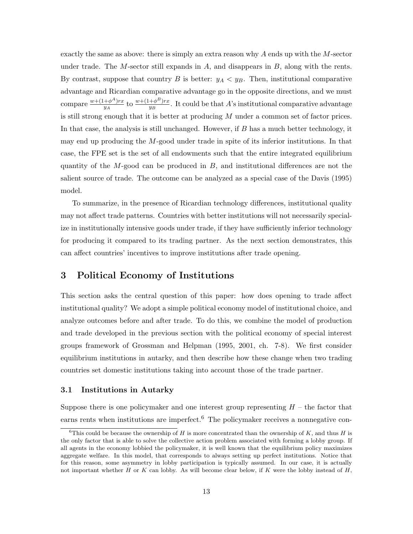exactly the same as above: there is simply an extra reason why A ends up with the M-sector under trade. The  $M$ -sector still expands in  $A$ , and disappears in  $B$ , along with the rents. By contrast, suppose that country B is better:  $y_A < y_B$ . Then, institutional comparative advantage and Ricardian comparative advantage go in the opposite directions, and we must compare  $\frac{w+(1+\phi^A)rx}{w}$  $\frac{+\phi^A)rx}{y_A}$  to  $\frac{w+(1+\phi^B)rx}{y_B}$  $\frac{+\phi^-)rx}{y_B}$ . It could be that A's institutional comparative advantage is still strong enough that it is better at producing M under a common set of factor prices. In that case, the analysis is still unchanged. However, if  $B$  has a much better technology, it may end up producing the M-good under trade in spite of its inferior institutions. In that case, the FPE set is the set of all endowments such that the entire integrated equilibrium quantity of the  $M$ -good can be produced in  $B$ , and institutional differences are not the salient source of trade. The outcome can be analyzed as a special case of the Davis (1995) model.

To summarize, in the presence of Ricardian technology differences, institutional quality may not affect trade patterns. Countries with better institutions will not necessarily specialize in institutionally intensive goods under trade, if they have sufficiently inferior technology for producing it compared to its trading partner. As the next section demonstrates, this can affect countries' incentives to improve institutions after trade opening.

## 3 Political Economy of Institutions

This section asks the central question of this paper: how does opening to trade affect institutional quality? We adopt a simple political economy model of institutional choice, and analyze outcomes before and after trade. To do this, we combine the model of production and trade developed in the previous section with the political economy of special interest groups framework of Grossman and Helpman (1995, 2001, ch. 7-8). We first consider equilibrium institutions in autarky, and then describe how these change when two trading countries set domestic institutions taking into account those of the trade partner.

#### 3.1 Institutions in Autarky

Suppose there is one policymaker and one interest group representing  $H$  – the factor that earns rents when institutions are imperfect.<sup>6</sup> The policymaker receives a nonnegative con-

<sup>&</sup>lt;sup>6</sup>This could be because the ownership of H is more concentrated than the ownership of K, and thus H is the only factor that is able to solve the collective action problem associated with forming a lobby group. If all agents in the economy lobbied the policymaker, it is well known that the equilibrium policy maximizes aggregate welfare. In this model, that corresponds to always setting up perfect institutions. Notice that for this reason, some asymmetry in lobby participation is typically assumed. In our case, it is actually not important whether  $H$  or  $K$  can lobby. As will become clear below, if  $K$  were the lobby instead of  $H$ ,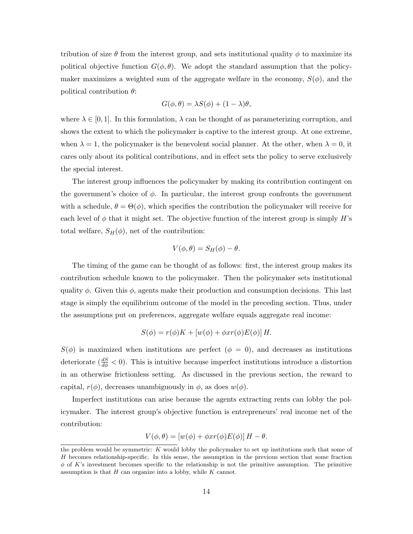tribution of size  $\theta$  from the interest group, and sets institutional quality  $\phi$  to maximize its political objective function  $G(\phi, \theta)$ . We adopt the standard assumption that the policymaker maximizes a weighted sum of the aggregate welfare in the economy,  $S(\phi)$ , and the political contribution  $\theta$ :

$$
G(\phi, \theta) = \lambda S(\phi) + (1 - \lambda)\theta,
$$

where  $\lambda \in [0, 1]$ . In this formulation,  $\lambda$  can be thought of as parameterizing corruption, and shows the extent to which the policymaker is captive to the interest group. At one extreme, when  $\lambda = 1$ , the policymaker is the benevolent social planner. At the other, when  $\lambda = 0$ , it cares only about its political contributions, and in effect sets the policy to serve exclusively the special interest.

The interest group influences the policymaker by making its contribution contingent on the government's choice of  $\phi$ . In particular, the interest group confronts the government with a schedule,  $\theta = \Theta(\phi)$ , which specifies the contribution the policymaker will receive for each level of  $\phi$  that it might set. The objective function of the interest group is simply H's total welfare,  $S_H(\phi)$ , net of the contribution:

$$
V(\phi,\theta)=S_H(\phi)-\theta.
$$

The timing of the game can be thought of as follows: first, the interest group makes its contribution schedule known to the policymaker. Then the policymaker sets institutional quality  $\phi$ . Given this  $\phi$ , agents make their production and consumption decisions. This last stage is simply the equilibrium outcome of the model in the preceding section. Thus, under the assumptions put on preferences, aggregate welfare equals aggregate real income:

$$
S(\phi) = r(\phi)K + [w(\phi) + \phi xr(\phi)E(\phi)]H.
$$

 $S(\phi)$  is maximized when institutions are perfect  $(\phi = 0)$ , and decreases as institutions deteriorate  $(\frac{dS}{d\phi} < 0)$ . This is intuitive because imperfect institutions introduce a distortion in an otherwise frictionless setting. As discussed in the previous section, the reward to capital,  $r(\phi)$ , decreases unambiguously in  $\phi$ , as does  $w(\phi)$ .

Imperfect institutions can arise because the agents extracting rents can lobby the policymaker. The interest group's objective function is entrepreneurs' real income net of the contribution:

$$
V(\phi, \theta) = [w(\phi) + \phi xr(\phi)E(\phi)]H - \theta.
$$

the problem would be symmetric:  $K$  would lobby the policymaker to set up institutions such that some of H becomes relationship-specific. In this sense, the assumption in the previous section that some fraction  $\phi$  of K's investment becomes specific to the relationship is not the primitive assumption. The primitive assumption is that  $H$  can organize into a lobby, while  $K$  cannot.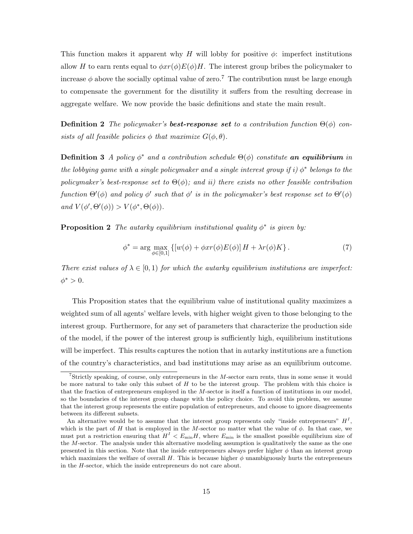This function makes it apparent why H will lobby for positive  $\phi$ : imperfect institutions allow H to earn rents equal to  $\phi xr(\phi)E(\phi)H$ . The interest group bribes the policymaker to increase  $\phi$  above the socially optimal value of zero.<sup>7</sup> The contribution must be large enough to compensate the government for the disutility it suffers from the resulting decrease in aggregate welfare. We now provide the basic definitions and state the main result.

**Definition 2** The policymaker's **best-response set** to a contribution function  $\Theta(\phi)$  consists of all feasible policies  $\phi$  that maximize  $G(\phi, \theta)$ .

**Definition 3** A policy  $\phi^*$  and a contribution schedule  $\Theta(\phi)$  constitute an equilibrium in the lobbying game with a single policymaker and a single interest group if i)  $\phi^*$  belongs to the policymaker's best-response set to  $\Theta(\phi)$ ; and ii) there exists no other feasible contribution function  $\Theta'(\phi)$  and policy  $\phi'$  such that  $\phi'$  is in the policymaker's best response set to  $\Theta'(\phi)$ and  $V(\phi', \Theta'(\phi)) > V(\phi^*, \Theta(\phi)).$ 

**Proposition 2** The autarky equilibrium institutional quality  $\phi^*$  is given by:

$$
\phi^* = \arg \max_{\phi \in [0,1]} \left\{ \left[ w(\phi) + \phi x r(\phi) E(\phi) \right] H + \lambda r(\phi) K \right\}.
$$
 (7)

There exist values of  $\lambda \in [0,1)$  for which the autarky equilibrium institutions are imperfect:  $\phi^* > 0$ .

This Proposition states that the equilibrium value of institutional quality maximizes a weighted sum of all agents' welfare levels, with higher weight given to those belonging to the interest group. Furthermore, for any set of parameters that characterize the production side of the model, if the power of the interest group is sufficiently high, equilibrium institutions will be imperfect. This results captures the notion that in autarky institutions are a function of the country's characteristics, and bad institutions may arise as an equilibrium outcome.

<sup>&</sup>lt;sup>7</sup>Strictly speaking, of course, only entrepreneurs in the  $M$ -sector earn rents, thus in some sense it would be more natural to take only this subset of  $H$  to be the interest group. The problem with this choice is that the fraction of entrepreneurs employed in the M-sector is itself a function of institutions in our model, so the boundaries of the interest group change with the policy choice. To avoid this problem, we assume that the interest group represents the entire population of entrepreneurs, and choose to ignore disagreements between its different subsets.

An alternative would be to assume that the interest group represents only "inside entrepreneurs"  $H<sup>I</sup>$ , which is the part of H that is employed in the M-sector no matter what the value of  $\phi$ . In that case, we must put a restriction ensuring that  $H^I \n\leq E_{\min} H$ , where  $E_{\min}$  is the smallest possible equilibrium size of the M-sector. The analysis under this alternative modeling assumption is qualitatively the same as the one presented in this section. Note that the inside entrepreneurs always prefer higher  $\phi$  than an interest group which maximizes the welfare of overall H. This is because higher  $\phi$  unambiguously hurts the entrepreneurs in the H-sector, which the inside entrepreneurs do not care about.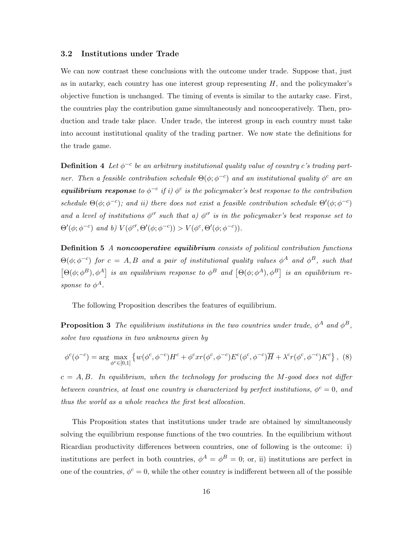#### 3.2 Institutions under Trade

We can now contrast these conclusions with the outcome under trade. Suppose that, just as in autarky, each country has one interest group representing  $H$ , and the policymaker's objective function is unchanged. The timing of events is similar to the autarky case. First, the countries play the contribution game simultaneously and noncooperatively. Then, production and trade take place. Under trade, the interest group in each country must take into account institutional quality of the trading partner. We now state the definitions for the trade game.

**Definition 4** Let  $\phi^{-c}$  be an arbitrary institutional quality value of country c's trading partner. Then a feasible contribution schedule  $\Theta(\phi; \phi^{-c})$  and an institutional quality  $\phi^c$  are an **equilibrium response** to  $\phi^{-c}$  if i)  $\phi^{c}$  is the policymaker's best response to the contribution schedule  $\Theta(\phi;\phi^{-c})$ ; and ii) there does not exist a feasible contribution schedule  $\Theta'(\phi;\phi^{-c})$ and a level of institutions  $\phi^{c}$  such that a)  $\phi^{c}$  is in the policymaker's best response set to  $\Theta'(\phi; \phi^{-c})$  and b)  $V(\phi^{c'}, \Theta'(\phi; \phi^{-c})) > V(\phi^{c}, \Theta'(\phi; \phi^{-c}))$ .

**Definition 5** A noncooperative equilibrium consists of political contribution functions  $\Theta(\phi;\phi^{-c})$  for  $c = A, B$  and a pair of institutional quality values  $\phi^A$  and  $\phi^B$ , such that  $[\Theta(\phi;\phi^B),\phi^A]$  is an equilibrium response to  $\phi^B$  and  $[\Theta(\phi;\phi^A),\phi^B]$  is an equilibrium response to  $\phi^A$ .

The following Proposition describes the features of equilibrium.

**Proposition 3** The equilibrium institutions in the two countries under trade,  $\phi^A$  and  $\phi^B$ , solve two equations in two unknowns given by

$$
\phi^c(\phi^{-c}) = \arg\max_{\phi^c \in [0,1]} \left\{ w(\phi^c, \phi^{-c}) H^c + \phi^c x r(\phi^c, \phi^{-c}) E^c(\phi^c, \phi^{-c}) \overline{H} + \lambda^c r(\phi^c, \phi^{-c}) K^c \right\},
$$
 (8)

 $c = A, B$ . In equilibrium, when the technology for producing the M-good does not differ between countries, at least one country is characterized by perfect institutions,  $\phi^c = 0$ , and thus the world as a whole reaches the first best allocation.

This Proposition states that institutions under trade are obtained by simultaneously solving the equilibrium response functions of the two countries. In the equilibrium without Ricardian productivity differences between countries, one of following is the outcome: i) institutions are perfect in both countries,  $\phi^A = \phi^B = 0$ ; or, ii) institutions are perfect in one of the countries,  $\phi^c = 0$ , while the other country is indifferent between all of the possible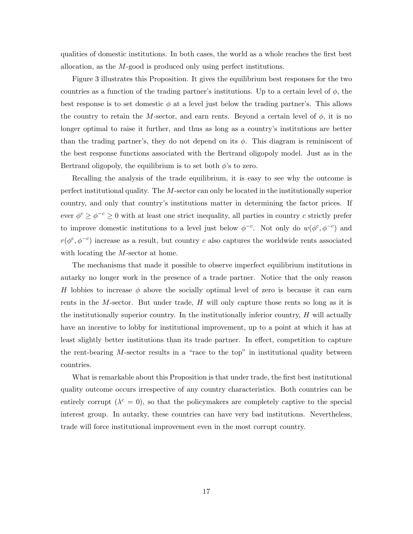qualities of domestic institutions. In both cases, the world as a whole reaches the first best allocation, as the M-good is produced only using perfect institutions.

Figure 3 illustrates this Proposition. It gives the equilibrium best responses for the two countries as a function of the trading partner's institutions. Up to a certain level of  $\phi$ , the best response is to set domestic  $\phi$  at a level just below the trading partner's. This allows the country to retain the M-sector, and earn rents. Beyond a certain level of  $\phi$ , it is no longer optimal to raise it further, and thus as long as a country's institutions are better than the trading partner's, they do not depend on its  $\phi$ . This diagram is reminiscent of the best response functions associated with the Bertrand oligopoly model. Just as in the Bertrand oligopoly, the equilibrium is to set both  $\phi$ 's to zero.

Recalling the analysis of the trade equilibrium, it is easy to see why the outcome is perfect institutional quality. The M-sector can only be located in the institutionally superior country, and only that country's institutions matter in determining the factor prices. If ever  $\phi^c \geq \phi^{-c} \geq 0$  with at least one strict inequality, all parties in country c strictly prefer to improve domestic institutions to a level just below  $\phi^{-c}$ . Not only do  $w(\phi^c, \phi^{-c})$  and  $r(\phi^c, \phi^{-c})$  increase as a result, but country c also captures the worldwide rents associated with locating the *M*-sector at home.

The mechanisms that made it possible to observe imperfect equilibrium institutions in autarky no longer work in the presence of a trade partner. Notice that the only reason H lobbies to increase  $\phi$  above the socially optimal level of zero is because it can earn rents in the  $M$ -sector. But under trade,  $H$  will only capture those rents so long as it is the institutionally superior country. In the institutionally inferior country,  $H$  will actually have an incentive to lobby for institutional improvement, up to a point at which it has at least slightly better institutions than its trade partner. In effect, competition to capture the rent-bearing  $M$ -sector results in a "race to the top" in institutional quality between countries.

What is remarkable about this Proposition is that under trade, the first best institutional quality outcome occurs irrespective of any country characteristics. Both countries can be entirely corrupt ( $\lambda^c = 0$ ), so that the policymakers are completely captive to the special interest group. In autarky, these countries can have very bad institutions. Nevertheless, trade will force institutional improvement even in the most corrupt country.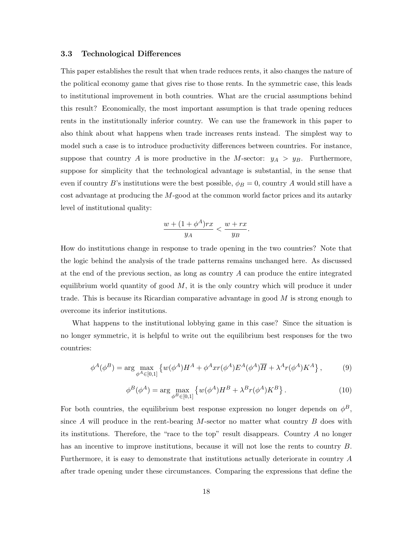#### 3.3 Technological Differences

This paper establishes the result that when trade reduces rents, it also changes the nature of the political economy game that gives rise to those rents. In the symmetric case, this leads to institutional improvement in both countries. What are the crucial assumptions behind this result? Economically, the most important assumption is that trade opening reduces rents in the institutionally inferior country. We can use the framework in this paper to also think about what happens when trade increases rents instead. The simplest way to model such a case is to introduce productivity differences between countries. For instance, suppose that country A is more productive in the M-sector:  $y_A > y_B$ . Furthermore, suppose for simplicity that the technological advantage is substantial, in the sense that even if country B's institutions were the best possible,  $\phi_B = 0$ , country A would still have a cost advantage at producing the M-good at the common world factor prices and its autarky level of institutional quality:

$$
\frac{w + (1 + \phi^A)rx}{y_A} < \frac{w + rx}{y_B}.
$$

How do institutions change in response to trade opening in the two countries? Note that the logic behind the analysis of the trade patterns remains unchanged here. As discussed at the end of the previous section, as long as country  $A$  can produce the entire integrated equilibrium world quantity of good  $M$ , it is the only country which will produce it under trade. This is because its Ricardian comparative advantage in good  $M$  is strong enough to overcome its inferior institutions.

What happens to the institutional lobbying game in this case? Since the situation is no longer symmetric, it is helpful to write out the equilibrium best responses for the two countries:

$$
\phi^A(\phi^B) = \arg\max_{\phi^A \in [0,1]} \left\{ w(\phi^A) H^A + \phi^A x r(\phi^A) E^A(\phi^A) \overline{H} + \lambda^A r(\phi^A) K^A \right\},\tag{9}
$$

$$
\phi^B(\phi^A) = \arg\max_{\phi^B \in [0,1]} \left\{ w(\phi^A) H^B + \lambda^B r(\phi^A) K^B \right\}.
$$
 (10)

For both countries, the equilibrium best response expression no longer depends on  $\phi^B$ , since A will produce in the rent-bearing  $M$ -sector no matter what country  $B$  does with its institutions. Therefore, the "race to the top" result disappears. Country A no longer has an incentive to improve institutions, because it will not lose the rents to country B. Furthermore, it is easy to demonstrate that institutions actually deteriorate in country A after trade opening under these circumstances. Comparing the expressions that define the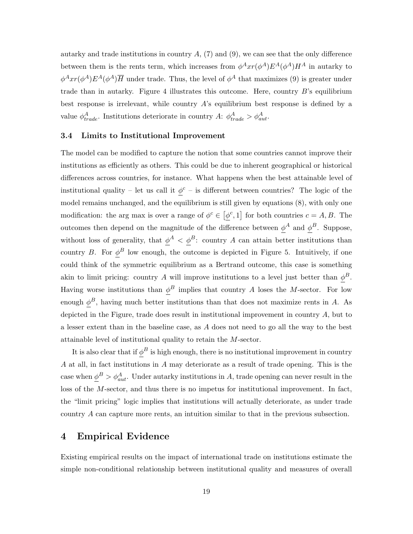autarky and trade institutions in country  $A$ ,  $(7)$  and  $(9)$ , we can see that the only difference between them is the rents term, which increases from  $\phi^A xr(\phi^A)E^A(\phi^A)H^A$  in autarky to  $\phi^A xr(\phi^A)E^A(\phi^A)\overline{H}$  under trade. Thus, the level of  $\phi^A$  that maximizes (9) is greater under trade than in autarky. Figure 4 illustrates this outcome. Here, country B's equilibrium best response is irrelevant, while country  $A$ 's equilibrium best response is defined by a value  $\phi_{trade}^{A}$ . Institutions deteriorate in country A:  $\phi_{trade}^{A} > \phi_{aut}^{A}$ .

#### 3.4 Limits to Institutional Improvement

The model can be modified to capture the notion that some countries cannot improve their institutions as efficiently as others. This could be due to inherent geographical or historical differences across countries, for instance. What happens when the best attainable level of institutional quality – let us call it  $\phi^c$  – is different between countries? The logic of the model remains unchanged, and the equilibrium is still given by equations (8), with only one modification: the arg max is over a range of  $\phi^c \in [\phi^c, 1]$  for both countries  $c = A, B$ . The outcomes then depend on the magnitude of the difference between  $\phi^A$  and  $\phi^B$ . Suppose, without loss of generality, that  $\phi^A < \phi^B$ : country A can attain better institutions than country B. For  $\phi^B$  low enough, the outcome is depicted in Figure 5. Intuitively, if one could think of the symmetric equilibrium as a Bertrand outcome, this case is something akin to limit pricing: country A will improve institutions to a level just better than  $\phi^B$ . Having worse institutions than  $\phi^B$  implies that country A loses the M-sector. For low enough  $\phi^B$ , having much better institutions than that does not maximize rents in A. As depicted in the Figure, trade does result in institutional improvement in country A, but to a lesser extent than in the baseline case, as A does not need to go all the way to the best attainable level of institutional quality to retain the M-sector.

It is also clear that if  $\phi^B$  is high enough, there is no institutional improvement in country A at all, in fact institutions in A may deteriorate as a result of trade opening. This is the case when  $\phi^B > \phi^A_{aut}$ . Under autarky institutions in A, trade opening can never result in the loss of the M-sector, and thus there is no impetus for institutional improvement. In fact, the "limit pricing" logic implies that institutions will actually deteriorate, as under trade country A can capture more rents, an intuition similar to that in the previous subsection.

### 4 Empirical Evidence

Existing empirical results on the impact of international trade on institutions estimate the simple non-conditional relationship between institutional quality and measures of overall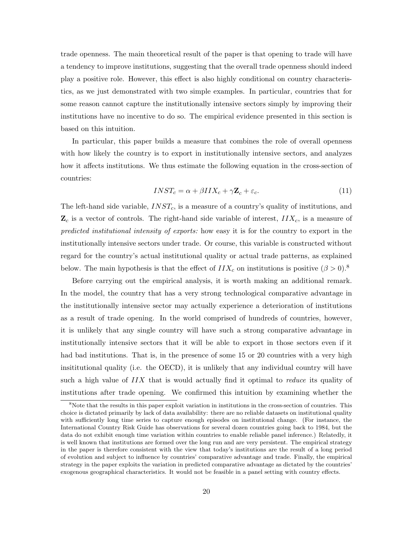trade openness. The main theoretical result of the paper is that opening to trade will have a tendency to improve institutions, suggesting that the overall trade openness should indeed play a positive role. However, this effect is also highly conditional on country characteristics, as we just demonstrated with two simple examples. In particular, countries that for some reason cannot capture the institutionally intensive sectors simply by improving their institutions have no incentive to do so. The empirical evidence presented in this section is based on this intuition.

In particular, this paper builds a measure that combines the role of overall openness with how likely the country is to export in institutionally intensive sectors, and analyzes how it affects institutions. We thus estimate the following equation in the cross-section of countries:

$$
INST_c = \alpha + \beta IIX_c + \gamma \mathbf{Z}_c + \varepsilon_c. \tag{11}
$$

The left-hand side variable,  $INST<sub>c</sub>$ , is a measure of a country's quality of institutions, and  $\mathbf{Z}_c$  is a vector of controls. The right-hand side variable of interest,  $IIX_c$ , is a measure of predicted institutional intensity of exports: how easy it is for the country to export in the institutionally intensive sectors under trade. Or course, this variable is constructed without regard for the country's actual institutional quality or actual trade patterns, as explained below. The main hypothesis is that the effect of  $IIX_c$  on institutions is positive  $(\beta > 0)$ .<sup>8</sup>

Before carrying out the empirical analysis, it is worth making an additional remark. In the model, the country that has a very strong technological comparative advantage in the institutionally intensive sector may actually experience a deterioration of institutions as a result of trade opening. In the world comprised of hundreds of countries, however, it is unlikely that any single country will have such a strong comparative advantage in institutionally intensive sectors that it will be able to export in those sectors even if it had bad institutions. That is, in the presence of some 15 or 20 countries with a very high insititutional quality (i.e. the OECD), it is unlikely that any individual country will have such a high value of IIX that is would actually find it optimal to *reduce* its quality of institutions after trade opening. We confirmed this intuition by examining whether the

<sup>&</sup>lt;sup>8</sup>Note that the results in this paper exploit variation in institutions in the cross-section of countries. This choice is dictated primarily by lack of data availability: there are no reliable datasets on institutional quality with sufficiently long time series to capture enough episodes on institutional change. (For instance, the International Country Risk Guide has observations for several dozen countries going back to 1984, but the data do not exhibit enough time variation within countries to enable reliable panel inference.) Relatedly, it is well known that institutions are formed over the long run and are very persistent. The empirical strategy in the paper is therefore consistent with the view that today's institutions are the result of a long period of evolution and subject to influence by countries' comparative advantage and trade. Finally, the empirical strategy in the paper exploits the variation in predicted comparative advantage as dictated by the countries' exogenous geographical characteristics. It would not be feasible in a panel setting with country effects.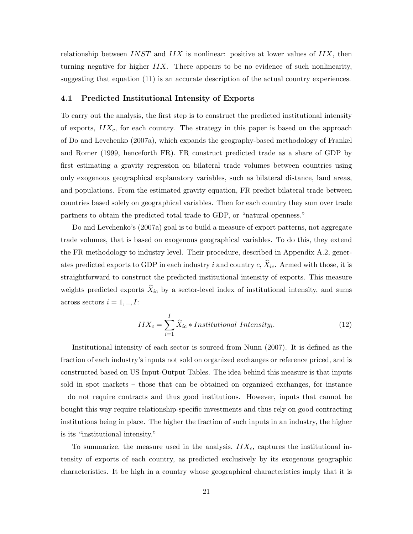relationship between  $INST$  and  $IIX$  is nonlinear: positive at lower values of  $IIX$ , then turning negative for higher  $IIX$ . There appears to be no evidence of such nonlinearity, suggesting that equation (11) is an accurate description of the actual country experiences.

#### 4.1 Predicted Institutional Intensity of Exports

To carry out the analysis, the first step is to construct the predicted institutional intensity of exports,  $IIX_c$ , for each country. The strategy in this paper is based on the approach of Do and Levchenko (2007a), which expands the geography-based methodology of Frankel and Romer (1999, henceforth FR). FR construct predicted trade as a share of GDP by first estimating a gravity regression on bilateral trade volumes between countries using only exogenous geographical explanatory variables, such as bilateral distance, land areas, and populations. From the estimated gravity equation, FR predict bilateral trade between countries based solely on geographical variables. Then for each country they sum over trade partners to obtain the predicted total trade to GDP, or "natural openness."

Do and Levchenko's (2007a) goal is to build a measure of export patterns, not aggregate trade volumes, that is based on exogenous geographical variables. To do this, they extend the FR methodology to industry level. Their procedure, described in Appendix A.2, generates predicted exports to GDP in each industry i and country c,  $\hat{X}_{ic}$ . Armed with those, it is straightforward to construct the predicted institutional intensity of exports. This measure weights predicted exports  $\widehat{X}_{ic}$  by a sector-level index of institutional intensity, and sums across sectors  $i = 1, ..., I$ :

$$
IIX_c = \sum_{i=1}^{I} \hat{X}_{ic} * Institutional\_{Intensity_i}.
$$
 (12)

Institutional intensity of each sector is sourced from Nunn (2007). It is defined as the fraction of each industry's inputs not sold on organized exchanges or reference priced, and is constructed based on US Input-Output Tables. The idea behind this measure is that inputs sold in spot markets – those that can be obtained on organized exchanges, for instance – do not require contracts and thus good institutions. However, inputs that cannot be bought this way require relationship-specific investments and thus rely on good contracting institutions being in place. The higher the fraction of such inputs in an industry, the higher is its "institutional intensity."

To summarize, the measure used in the analysis,  $IIX_c$ , captures the institutional intensity of exports of each country, as predicted exclusively by its exogenous geographic characteristics. It be high in a country whose geographical characteristics imply that it is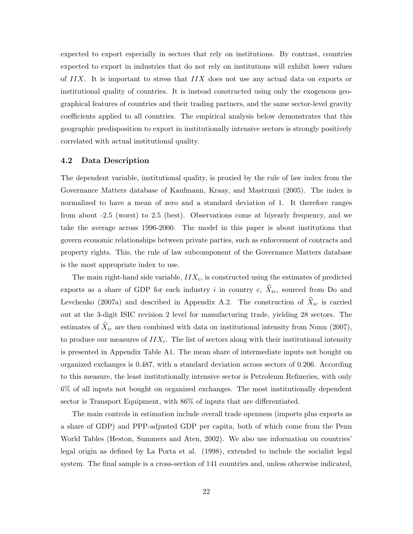expected to export especially in sectors that rely on institutions. By contrast, countries expected to export in industries that do not rely on institutions will exhibit lower values of  $IIX$ . It is important to stress that  $IIX$  does not use any actual data on exports or institutional quality of countries. It is instead constructed using only the exogenous geographical features of countries and their trading partners, and the same sector-level gravity coefficients applied to all countries. The empirical analysis below demonstrates that this geographic predisposition to export in institutionally intensive sectors is strongly positively correlated with actual institutional quality.

#### 4.2 Data Description

The dependent variable, institutional quality, is proxied by the rule of law index from the Governance Matters database of Kaufmann, Kraay, and Mastruzzi (2005). The index is normalized to have a mean of zero and a standard deviation of 1. It therefore ranges from about -2.5 (worst) to 2.5 (best). Observations come at biyearly frequency, and we take the average across 1996-2000. The model in this paper is about institutions that govern economic relationships between private parties, such as enforcement of contracts and property rights. This, the rule of law subcomponent of the Governance Matters database is the most appropriate index to use.

The main right-hand side variable,  $IIX_c$ , is constructed using the estimates of predicted exports as a share of GDP for each industry i in country c,  $\hat{X}_{ic}$ , sourced from Do and Levchenko (2007a) and described in Appendix A.2. The construction of  $X_{ic}$  is carried out at the 3-digit ISIC revision 2 level for manufacturing trade, yielding 28 sectors. The estimates of  $\hat{X}_{ic}$  are then combined with data on institutional intensity from Nunn (2007), to produce our measures of  $IIX_c$ . The list of sectors along with their institutional intensity is presented in Appendix Table A1. The mean share of intermediate inputs not bought on organized exchanges is 0.487, with a standard deviation across sectors of 0.206. According to this measure, the least institutionally intensive sector is Petroleum Refineries, with only 6% of all inputs not bought on organized exchanges. The most institutionally dependent sector is Transport Equipment, with 86% of inputs that are differentiated.

The main controls in estimation include overall trade openness (imports plus exports as a share of GDP) and PPP-adjusted GDP per capita, both of which come from the Penn World Tables (Heston, Summers and Aten, 2002). We also use information on countries' legal origin as defined by La Porta et al. (1998), extended to include the socialist legal system. The final sample is a cross-section of 141 countries and, unless otherwise indicated,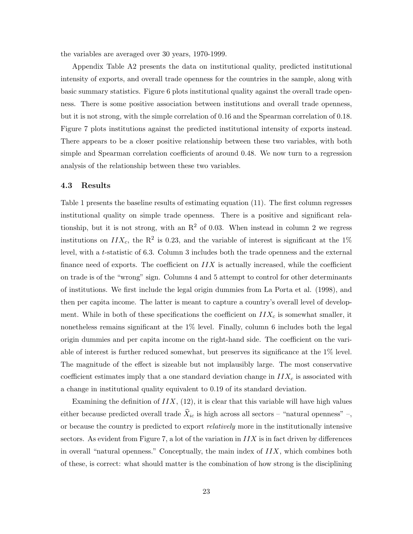the variables are averaged over 30 years, 1970-1999.

Appendix Table A2 presents the data on institutional quality, predicted institutional intensity of exports, and overall trade openness for the countries in the sample, along with basic summary statistics. Figure 6 plots institutional quality against the overall trade openness. There is some positive association between institutions and overall trade openness, but it is not strong, with the simple correlation of 0.16 and the Spearman correlation of 0.18. Figure 7 plots institutions against the predicted institutional intensity of exports instead. There appears to be a closer positive relationship between these two variables, with both simple and Spearman correlation coefficients of around 0.48. We now turn to a regression analysis of the relationship between these two variables.

#### 4.3 Results

Table 1 presents the baseline results of estimating equation (11). The first column regresses institutional quality on simple trade openness. There is a positive and significant relationship, but it is not strong, with an  $\mathbb{R}^2$  of 0.03. When instead in column 2 we regress institutions on  $IIX_c$ , the R<sup>2</sup> is 0.23, and the variable of interest is significant at the 1% level, with a t-statistic of 6.3. Column 3 includes both the trade openness and the external finance need of exports. The coefficient on  $IIX$  is actually increased, while the coefficient on trade is of the "wrong" sign. Columns 4 and 5 attempt to control for other determinants of institutions. We first include the legal origin dummies from La Porta et al. (1998), and then per capita income. The latter is meant to capture a country's overall level of development. While in both of these specifications the coefficient on  $IIX_c$  is somewhat smaller, it nonetheless remains significant at the 1% level. Finally, column 6 includes both the legal origin dummies and per capita income on the right-hand side. The coefficient on the variable of interest is further reduced somewhat, but preserves its significance at the 1% level. The magnitude of the effect is sizeable but not implausibly large. The most conservative coefficient estimates imply that a one standard deviation change in  $IIX_c$  is associated with a change in institutional quality equivalent to 0.19 of its standard deviation.

Examining the definition of  $IIX$ ,  $(12)$ , it is clear that this variable will have high values either because predicted overall trade  $\bar{X}_{ic}$  is high across all sectors – "natural openness" –, or because the country is predicted to export relatively more in the institutionally intensive sectors. As evident from Figure 7, a lot of the variation in  $IIX$  is in fact driven by differences in overall "natural openness." Conceptually, the main index of  $IIX$ , which combines both of these, is correct: what should matter is the combination of how strong is the disciplining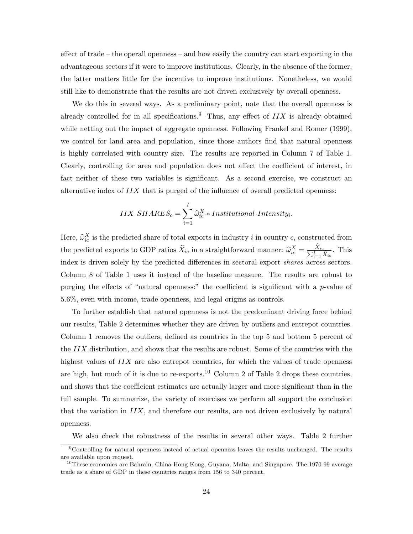effect of trade – the operall openness – and how easily the country can start exporting in the advantageous sectors if it were to improve institutions. Clearly, in the absence of the former, the latter matters little for the incentive to improve institutions. Nonetheless, we would still like to demonstrate that the results are not driven exclusively by overall openness.

We do this in several ways. As a preliminary point, note that the overall openness is already controlled for in all specifications.<sup>9</sup> Thus, any effect of  $IIX$  is already obtained while netting out the impact of aggregate openness. Following Frankel and Romer (1999), we control for land area and population, since those authors find that natural openness is highly correlated with country size. The results are reported in Column 7 of Table 1. Clearly, controlling for area and population does not affect the coefficient of interest, in fact neither of these two variables is significant. As a second exercise, we construct an alternative index of  $IIX$  that is purged of the influence of overall predicted openness:

$$
IIX\_SHARES_c = \sum_{i=1}^{I} \hat{\omega}_{ic}^{X} * Institutional\_Intensity_i.
$$

Here,  $\hat{\omega}_{ic}^X$  is the predicted share of total exports in industry i in country c, constructed from the predicted exports to GDP ratios  $\widehat{X}_{ic}$  in a straightforward manner:  $\widehat{\omega}_{ic}^X = \frac{X_{ic}}{\sum_{i=1}^I \widehat{X}_{ic}}$ . This index is driven solely by the predicted differences in sectoral export shares across sectors. Column 8 of Table 1 uses it instead of the baseline measure. The results are robust to purging the effects of "natural openness:" the coefficient is significant with a  $p$ -value of 5.6%, even with income, trade openness, and legal origins as controls.

To further establish that natural openness is not the predominant driving force behind our results, Table 2 determines whether they are driven by outliers and entrepot countries. Column 1 removes the outliers, defined as countries in the top 5 and bottom 5 percent of the IIX distribution, and shows that the results are robust. Some of the countries with the highest values of IIX are also entrepot countries, for which the values of trade openness are high, but much of it is due to re-exports.<sup>10</sup> Column 2 of Table 2 drops these countries, and shows that the coefficient estimates are actually larger and more significant than in the full sample. To summarize, the variety of exercises we perform all support the conclusion that the variation in  $IIX$ , and therefore our results, are not driven exclusively by natural openness.

We also check the robustness of the results in several other ways. Table 2 further

<sup>9</sup>Controlling for natural openness instead of actual openness leaves the results unchanged. The results are available upon request.

<sup>&</sup>lt;sup>10</sup>These economies are Bahrain, China-Hong Kong, Guyana, Malta, and Singapore. The 1970-99 average trade as a share of GDP in these countries ranges from 156 to 340 percent.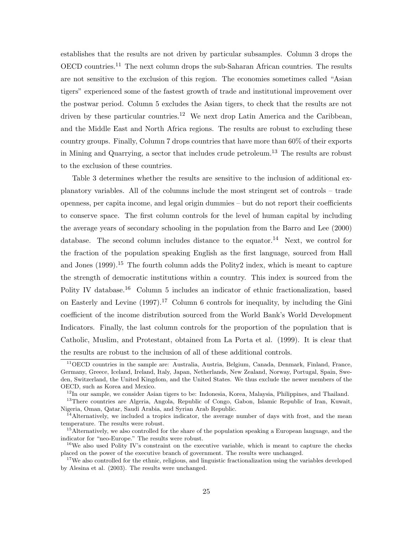establishes that the results are not driven by particular subsamples. Column 3 drops the OECD countries.<sup>11</sup> The next column drops the sub-Saharan African countries. The results are not sensitive to the exclusion of this region. The economies sometimes called "Asian tigers" experienced some of the fastest growth of trade and institutional improvement over the postwar period. Column 5 excludes the Asian tigers, to check that the results are not driven by these particular countries.<sup>12</sup> We next drop Latin America and the Caribbean, and the Middle East and North Africa regions. The results are robust to excluding these country groups. Finally, Column 7 drops countries that have more than 60% of their exports in Mining and Quarrying, a sector that includes crude petroleum.<sup>13</sup> The results are robust to the exclusion of these countries.

Table 3 determines whether the results are sensitive to the inclusion of additional explanatory variables. All of the columns include the most stringent set of controls – trade openness, per capita income, and legal origin dummies – but do not report their coefficients to conserve space. The first column controls for the level of human capital by including the average years of secondary schooling in the population from the Barro and Lee (2000) database. The second column includes distance to the equator.<sup>14</sup> Next, we control for the fraction of the population speaking English as the first language, sourced from Hall and Jones  $(1999)$ <sup>15</sup>. The fourth column adds the Polity2 index, which is meant to capture the strength of democratic institutions within a country. This index is sourced from the Polity IV database.<sup>16</sup> Column 5 includes an indicator of ethnic fractionalization, based on Easterly and Levine  $(1997)^{17}$  Column 6 controls for inequality, by including the Gini coefficient of the income distribution sourced from the World Bank's World Development Indicators. Finally, the last column controls for the proportion of the population that is Catholic, Muslim, and Protestant, obtained from La Porta et al. (1999). It is clear that the results are robust to the inclusion of all of these additional controls.

<sup>&</sup>lt;sup>11</sup>OECD countries in the sample are: Australia, Austria, Belgium, Canada, Denmark, Finland, France, Germany, Greece, Iceland, Ireland, Italy, Japan, Netherlands, New Zealand, Norway, Portugal, Spain, Sweden, Switzerland, the United Kingdom, and the United States. We thus exclude the newer members of the OECD, such as Korea and Mexico.

 $12$ In our sample, we consider Asian tigers to be: Indonesia, Korea, Malaysia, Philippines, and Thailand.

<sup>&</sup>lt;sup>13</sup>There countries are Algeria, Angola, Republic of Congo, Gabon, Islamic Republic of Iran, Kuwait, Nigeria, Oman, Qatar, Saudi Arabia, and Syrian Arab Republic.

<sup>&</sup>lt;sup>14</sup>Alternatively, we included a tropics indicator, the average number of days with frost, and the mean temperature. The results were robust.

<sup>&</sup>lt;sup>15</sup>Alternatively, we also controlled for the share of the population speaking a European language, and the indicator for "neo-Europe." The results were robust.

<sup>&</sup>lt;sup>16</sup>We also used Polity IV's constraint on the executive variable, which is meant to capture the checks placed on the power of the executive branch of government. The results were unchanged.

<sup>&</sup>lt;sup>17</sup>We also controlled for the ethnic, religious, and linguistic fractionalization using the variables developed by Alesina et al. (2003). The results were unchanged.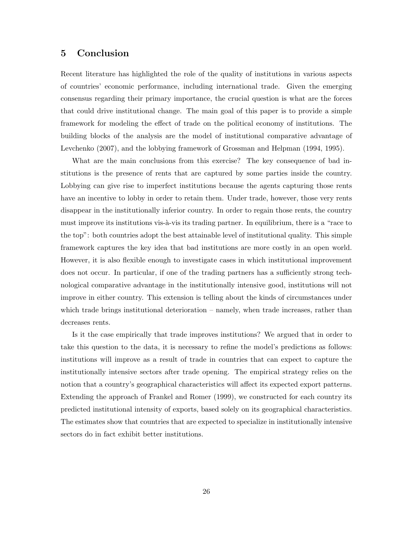### 5 Conclusion

Recent literature has highlighted the role of the quality of institutions in various aspects of countries' economic performance, including international trade. Given the emerging consensus regarding their primary importance, the crucial question is what are the forces that could drive institutional change. The main goal of this paper is to provide a simple framework for modeling the effect of trade on the political economy of institutions. The building blocks of the analysis are the model of institutional comparative advantage of Levchenko (2007), and the lobbying framework of Grossman and Helpman (1994, 1995).

What are the main conclusions from this exercise? The key consequence of bad institutions is the presence of rents that are captured by some parties inside the country. Lobbying can give rise to imperfect institutions because the agents capturing those rents have an incentive to lobby in order to retain them. Under trade, however, those very rents disappear in the institutionally inferior country. In order to regain those rents, the country must improve its institutions vis- $\lambda$ -vis its trading partner. In equilibrium, there is a "race to the top": both countries adopt the best attainable level of institutional quality. This simple framework captures the key idea that bad institutions are more costly in an open world. However, it is also flexible enough to investigate cases in which institutional improvement does not occur. In particular, if one of the trading partners has a sufficiently strong technological comparative advantage in the institutionally intensive good, institutions will not improve in either country. This extension is telling about the kinds of circumstances under which trade brings institutional deterioration – namely, when trade increases, rather than decreases rents.

Is it the case empirically that trade improves institutions? We argued that in order to take this question to the data, it is necessary to refine the model's predictions as follows: institutions will improve as a result of trade in countries that can expect to capture the institutionally intensive sectors after trade opening. The empirical strategy relies on the notion that a country's geographical characteristics will affect its expected export patterns. Extending the approach of Frankel and Romer (1999), we constructed for each country its predicted institutional intensity of exports, based solely on its geographical characteristics. The estimates show that countries that are expected to specialize in institutionally intensive sectors do in fact exhibit better institutions.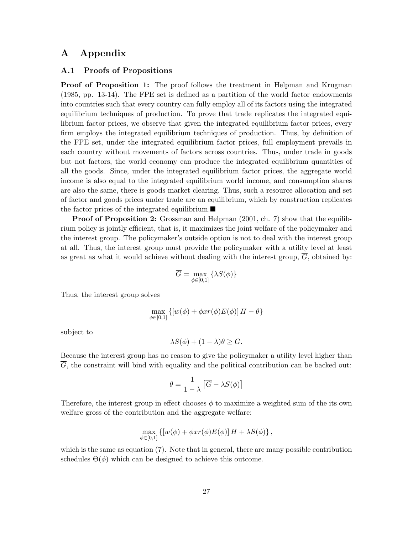## A Appendix

#### A.1 Proofs of Propositions

**Proof of Proposition 1:** The proof follows the treatment in Helpman and Krugman (1985, pp. 13-14). The FPE set is defined as a partition of the world factor endowments into countries such that every country can fully employ all of its factors using the integrated equilibrium techniques of production. To prove that trade replicates the integrated equilibrium factor prices, we observe that given the integrated equilibrium factor prices, every firm employs the integrated equilibrium techniques of production. Thus, by definition of the FPE set, under the integrated equilibrium factor prices, full employment prevails in each country without movements of factors across countries. Thus, under trade in goods but not factors, the world economy can produce the integrated equilibrium quantities of all the goods. Since, under the integrated equilibrium factor prices, the aggregate world income is also equal to the integrated equilibrium world income, and consumption shares are also the same, there is goods market clearing. Thus, such a resource allocation and set of factor and goods prices under trade are an equilibrium, which by construction replicates the factor prices of the integrated equilibrium. $\blacksquare$ 

Proof of Proposition 2: Grossman and Helpman (2001, ch. 7) show that the equilibrium policy is jointly efficient, that is, it maximizes the joint welfare of the policymaker and the interest group. The policymaker's outside option is not to deal with the interest group at all. Thus, the interest group must provide the policymaker with a utility level at least as great as what it would achieve without dealing with the interest group,  $\overline{G}$ , obtained by:

$$
\overline{G} = \max_{\phi \in [0,1]} \left\{ \lambda S(\phi) \right\}
$$

Thus, the interest group solves

$$
\max_{\phi \in [0,1]} \left\{ [w(\phi) + \phi xr(\phi)E(\phi)] H - \theta \right\}
$$

subject to

$$
\lambda S(\phi) + (1 - \lambda)\theta \geq \overline{G}.
$$

Because the interest group has no reason to give the policymaker a utility level higher than G, the constraint will bind with equality and the political contribution can be backed out:

$$
\theta = \frac{1}{1-\lambda} \left[ \overline{G} - \lambda S(\phi) \right]
$$

Therefore, the interest group in effect chooses  $\phi$  to maximize a weighted sum of the its own welfare gross of the contribution and the aggregate welfare:

$$
\max_{\phi \in [0,1]} \left\{ [w(\phi) + \phi xr(\phi)E(\phi)] H + \lambda S(\phi) \right\},\,
$$

which is the same as equation (7). Note that in general, there are many possible contribution schedules  $\Theta(\phi)$  which can be designed to achieve this outcome.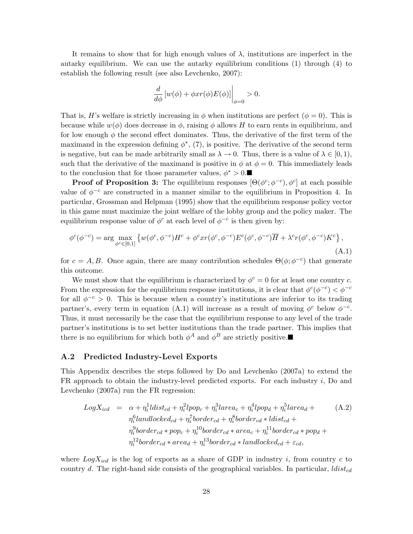It remains to show that for high enough values of  $\lambda$ , institutions are imperfect in the autarky equilibrium. We can use the autarky equilibrium conditions (1) through (4) to establish the following result (see also Levchenko, 2007):

$$
\frac{d}{d\phi}\left[w(\phi) + \phi xr(\phi)E(\phi)\right]\Big|_{\phi=0} > 0.
$$

That is, H's welfare is strictly increasing in  $\phi$  when institutions are perfect  $(\phi = 0)$ . This is because while  $w(\phi)$  does decrease in  $\phi$ , raising  $\phi$  allows H to earn rents in equilibrium, and for low enough  $\phi$  the second effect dominates. Thus, the derivative of the first term of the maximand in the expression defining  $\phi^*$ , (7), is positive. The derivative of the second term is negative, but can be made arbitrarily small as  $\lambda \to 0$ . Thus, there is a value of  $\lambda \in [0,1)$ , such that the derivative of the maximand is positive in  $\phi$  at  $\phi = 0$ . This immediately leads to the conclusion that for those parameter values,  $\phi^* > 0$ .

**Proof of Proposition 3:** The equilibrium responses  $[\Theta(\phi^c; \phi^{-c}), \phi^c]$  at each possible value of  $\phi^{-c}$  are constructed in a manner similar to the equilibrium in Proposition 4. In particular, Grossman and Helpman (1995) show that the equilibrium response policy vector in this game must maximize the joint welfare of the lobby group and the policy maker. The equilibrium response value of  $\phi^c$  at each level of  $\phi^{-c}$  is then given by:

$$
\phi^c(\phi^{-c}) = \arg\max_{\phi^c \in [0,1]} \left\{ w(\phi^c, \phi^{-c}) H^c + \phi^c x r(\phi^c, \phi^{-c}) E^c(\phi^c, \phi^{-c}) \overline{H} + \lambda^c r(\phi^c, \phi^{-c}) K^c \right\},\tag{A.1}
$$

for  $c = A, B$ . Once again, there are many contribution schedules  $\Theta(\phi; \phi^{-c})$  that generate this outcome.

We must show that the equilibrium is characterized by  $\phi^c = 0$  for at least one country c. From the expression for the equilibrium response institutions, it is clear that  $\phi^c(\phi^{-c}) < \phi^{-c}$ for all  $\phi^{-c} > 0$ . This is because when a country's institutions are inferior to its trading partner's, every term in equation (A.1) will increase as a result of moving  $\phi^c$  below  $\phi^{-c}$ . Thus, it must necessarily be the case that the equilibrium response to any level of the trade partner's institutions is to set better institutions than the trade partner. This implies that there is no equilibrium for which both  $\phi^A$  and  $\phi^B$  are strictly positive.

#### A.2 Predicted Industry-Level Exports

This Appendix describes the steps followed by Do and Levchenko (2007a) to extend the FR approach to obtain the industry-level predicted exports. For each industry  $i$ , Do and Levchenko (2007a) run the FR regression:

$$
LogX_{icd} = \alpha + \eta_i^1 \text{ldist}_{cd} + \eta_i^2 \text{lpop}_c + \eta_i^3 \text{larea}_c + \eta_i^4 \text{lpop}_d + \eta_i^5 \text{larea}_d +
$$
\n
$$
\eta_i^6 \text{landlocked}_{cd} + \eta_i^7 \text{border}_{cd} + \eta_i^8 \text{border}_{cd} * \text{ldist}_{cd} +
$$
\n
$$
\eta_i^9 \text{border}_{cd} * \text{pop}_c + \eta_i^1 \text{border}_{cd} * \text{area}_c + \eta_i^1 \text{border}_{cd} * \text{pop}_d +
$$
\n
$$
\eta_i^1 \text{border}_{cd} * \text{area}_d + \eta_i^1 \text{border}_{cd} * \text{landlocked}_{cd} + \varepsilon_{cd},
$$
\n
$$
\eta_i^1 \text{border}_{cd} * \text{area}_d + \eta_i^1 \text{border}_{cd} * \text{landlocked}_{cd} + \varepsilon_{cd},
$$
\n(A.2)

where  $LogX_{icd}$  is the log of exports as a share of GDP in industry i, from country c to country d. The right-hand side consists of the geographical variables. In particular,  $ldist_{cd}$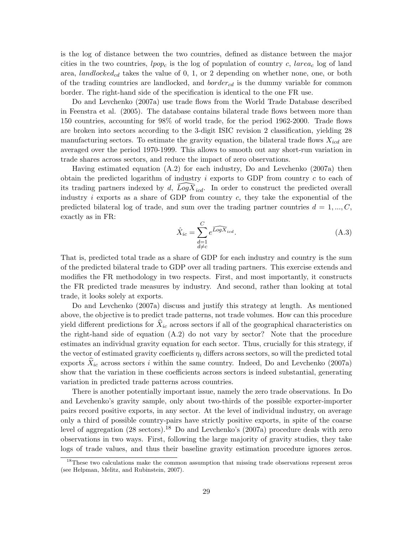is the log of distance between the two countries, defined as distance between the major cities in the two countries,  $lpop_c$  is the log of population of country c, lareac log of land area, landlocked<sub>cd</sub> takes the value of 0, 1, or 2 depending on whether none, one, or both of the trading countries are landlocked, and *border<sub>cd</sub>* is the dummy variable for common border. The right-hand side of the specification is identical to the one FR use.

Do and Levchenko (2007a) use trade flows from the World Trade Database described in Feenstra et al. (2005). The database contains bilateral trade flows between more than 150 countries, accounting for 98% of world trade, for the period 1962-2000. Trade flows are broken into sectors according to the 3-digit ISIC revision 2 classification, yielding 28 manufacturing sectors. To estimate the gravity equation, the bilateral trade flows  $X_{icd}$  are averaged over the period 1970-1999. This allows to smooth out any short-run variation in trade shares across sectors, and reduce the impact of zero observations.

Having estimated equation (A.2) for each industry, Do and Levchenko (2007a) then obtain the predicted logarithm of industry  $i$  exports to GDP from country  $c$  to each of its trading partners indexed by d,  $\overline{Log} \overline{X}_{icd}$ . In order to construct the predicted overall industry i exports as a share of GDP from country  $c$ , they take the exponential of the predicted bilateral log of trade, and sum over the trading partner countries  $d = 1, ..., C$ , exactly as in FR:

$$
\hat{X}_{ic} = \sum_{\substack{d=1\\d \neq c}}^{C} e^{\widehat{LogX}_{icd}}.\tag{A.3}
$$

That is, predicted total trade as a share of GDP for each industry and country is the sum of the predicted bilateral trade to GDP over all trading partners. This exercise extends and modifies the FR methodology in two respects. First, and most importantly, it constructs the FR predicted trade measures by industry. And second, rather than looking at total trade, it looks solely at exports.

Do and Levchenko (2007a) discuss and justify this strategy at length. As mentioned above, the objective is to predict trade patterns, not trade volumes. How can this procedure yield different predictions for  $X_{ic}$  across sectors if all of the geographical characteristics on the right-hand side of equation (A.2) do not vary by sector? Note that the procedure estimates an individual gravity equation for each sector. Thus, crucially for this strategy, if the vector of estimated gravity coefficients  $\eta_i$  differs across sectors, so will the predicted total exports  $X_{ic}$  across sectors i within the same country. Indeed, Do and Levchenko (2007a) show that the variation in these coefficients across sectors is indeed substantial, generating variation in predicted trade patterns across countries.

There is another potentially important issue, namely the zero trade observations. In Do and Levchenko's gravity sample, only about two-thirds of the possible exporter-importer pairs record positive exports, in any sector. At the level of individual industry, on average only a third of possible country-pairs have strictly positive exports, in spite of the coarse level of aggregation  $(28 \text{ sectors})$ .<sup>18</sup> Do and Levchenko's  $(2007a)$  procedure deals with zero observations in two ways. First, following the large majority of gravity studies, they take logs of trade values, and thus their baseline gravity estimation procedure ignores zeros.

<sup>&</sup>lt;sup>18</sup>These two calculations make the common assumption that missing trade observations represent zeros (see Helpman, Melitz, and Rubinstein, 2007).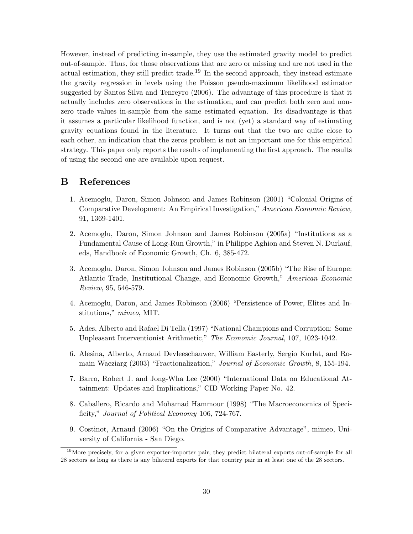However, instead of predicting in-sample, they use the estimated gravity model to predict out-of-sample. Thus, for those observations that are zero or missing and are not used in the actual estimation, they still predict trade.<sup>19</sup> In the second approach, they instead estimate the gravity regression in levels using the Poisson pseudo-maximum likelihood estimator suggested by Santos Silva and Tenreyro (2006). The advantage of this procedure is that it actually includes zero observations in the estimation, and can predict both zero and nonzero trade values in-sample from the same estimated equation. Its disadvantage is that it assumes a particular likelihood function, and is not (yet) a standard way of estimating gravity equations found in the literature. It turns out that the two are quite close to each other, an indication that the zeros problem is not an important one for this empirical strategy. This paper only reports the results of implementing the first approach. The results of using the second one are available upon request.

## B References

- 1. Acemoglu, Daron, Simon Johnson and James Robinson (2001) "Colonial Origins of Comparative Development: An Empirical Investigation," American Economic Review, 91, 1369-1401.
- 2. Acemoglu, Daron, Simon Johnson and James Robinson (2005a) "Institutions as a Fundamental Cause of Long-Run Growth," in Philippe Aghion and Steven N. Durlauf, eds, Handbook of Economic Growth, Ch. 6, 385-472.
- 3. Acemoglu, Daron, Simon Johnson and James Robinson (2005b) "The Rise of Europe: Atlantic Trade, Institutional Change, and Economic Growth," American Economic Review, 95, 546-579.
- 4. Acemoglu, Daron, and James Robinson (2006) "Persistence of Power, Elites and Institutions," mimeo, MIT.
- 5. Ades, Alberto and Rafael Di Tella (1997) "National Champions and Corruption: Some Unpleasant Interventionist Arithmetic," The Economic Journal, 107, 1023-1042.
- 6. Alesina, Alberto, Arnaud Devleeschauwer, William Easterly, Sergio Kurlat, and Romain Wacziarg (2003) "Fractionalization," Journal of Economic Growth, 8, 155-194.
- 7. Barro, Robert J. and Jong-Wha Lee (2000) "International Data on Educational Attainment: Updates and Implications," CID Working Paper No. 42.
- 8. Caballero, Ricardo and Mohamad Hammour (1998) "The Macroeconomics of Specificity," Journal of Political Economy 106, 724-767.
- 9. Costinot, Arnaud (2006) "On the Origins of Comparative Advantage", mimeo, University of California - San Diego.

<sup>&</sup>lt;sup>19</sup>More precisely, for a given exporter-importer pair, they predict bilateral exports out-of-sample for all 28 sectors as long as there is any bilateral exports for that country pair in at least one of the 28 sectors.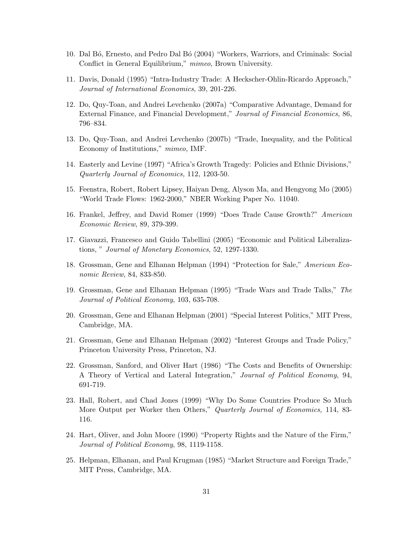- 10. Dal B´o, Ernesto, and Pedro Dal B´o (2004) "Workers, Warriors, and Criminals: Social Conflict in General Equilibrium," *mimeo*, Brown University.
- 11. Davis, Donald (1995) "Intra-Industry Trade: A Heckscher-Ohlin-Ricardo Approach," Journal of International Economics, 39, 201-226.
- 12. Do, Quy-Toan, and Andrei Levchenko (2007a) "Comparative Advantage, Demand for External Finance, and Financial Development," Journal of Financial Economics, 86, 796–834.
- 13. Do, Quy-Toan, and Andrei Levchenko (2007b) "Trade, Inequality, and the Political Economy of Institutions," mimeo, IMF.
- 14. Easterly and Levine (1997) "Africa's Growth Tragedy: Policies and Ethnic Divisions," Quarterly Journal of Economics, 112, 1203-50.
- 15. Feenstra, Robert, Robert Lipsey, Haiyan Deng, Alyson Ma, and Hengyong Mo (2005) "World Trade Flows: 1962-2000," NBER Working Paper No. 11040.
- 16. Frankel, Jeffrey, and David Romer (1999) "Does Trade Cause Growth?" American Economic Review, 89, 379-399.
- 17. Giavazzi, Francesco and Guido Tabellini (2005) "Economic and Political Liberalizations, " Journal of Monetary Economics, 52, 1297-1330.
- 18. Grossman, Gene and Elhanan Helpman (1994) "Protection for Sale," American Economic Review, 84, 833-850.
- 19. Grossman, Gene and Elhanan Helpman (1995) "Trade Wars and Trade Talks," The Journal of Political Economy, 103, 635-708.
- 20. Grossman, Gene and Elhanan Helpman (2001) "Special Interest Politics," MIT Press, Cambridge, MA.
- 21. Grossman, Gene and Elhanan Helpman (2002) "Interest Groups and Trade Policy," Princeton University Press, Princeton, NJ.
- 22. Grossman, Sanford, and Oliver Hart (1986) "The Costs and Benefits of Ownership: A Theory of Vertical and Lateral Integration," Journal of Political Economy, 94, 691-719.
- 23. Hall, Robert, and Chad Jones (1999) "Why Do Some Countries Produce So Much More Output per Worker then Others," *Quarterly Journal of Economics*, 114, 83-116.
- 24. Hart, Oliver, and John Moore (1990) "Property Rights and the Nature of the Firm," Journal of Political Economy, 98, 1119-1158.
- 25. Helpman, Elhanan, and Paul Krugman (1985) "Market Structure and Foreign Trade," MIT Press, Cambridge, MA.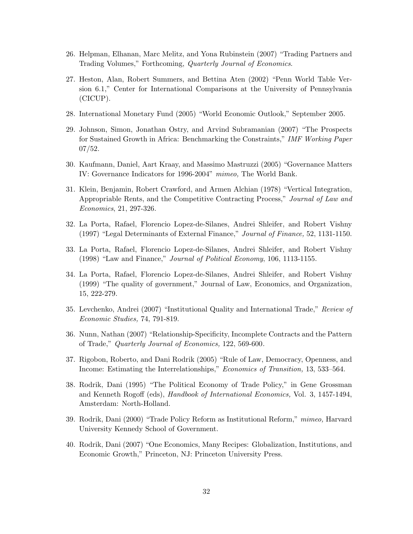- 26. Helpman, Elhanan, Marc Melitz, and Yona Rubinstein (2007) "Trading Partners and Trading Volumes," Forthcoming, Quarterly Journal of Economics.
- 27. Heston, Alan, Robert Summers, and Bettina Aten (2002) "Penn World Table Version 6.1," Center for International Comparisons at the University of Pennsylvania (CICUP).
- 28. International Monetary Fund (2005) "World Economic Outlook," September 2005.
- 29. Johnson, Simon, Jonathan Ostry, and Arvind Subramanian (2007) "The Prospects for Sustained Growth in Africa: Benchmarking the Constraints," IMF Working Paper 07/52.
- 30. Kaufmann, Daniel, Aart Kraay, and Massimo Mastruzzi (2005) "Governance Matters IV: Governance Indicators for 1996-2004" mimeo, The World Bank.
- 31. Klein, Benjamin, Robert Crawford, and Armen Alchian (1978) "Vertical Integration, Appropriable Rents, and the Competitive Contracting Process," Journal of Law and Economics, 21, 297-326.
- 32. La Porta, Rafael, Florencio Lopez-de-Silanes, Andrei Shleifer, and Robert Vishny (1997) "Legal Determinants of External Finance," Journal of Finance, 52, 1131-1150.
- 33. La Porta, Rafael, Florencio Lopez-de-Silanes, Andrei Shleifer, and Robert Vishny (1998) "Law and Finance," Journal of Political Economy, 106, 1113-1155.
- 34. La Porta, Rafael, Florencio Lopez-de-Silanes, Andrei Shleifer, and Robert Vishny (1999) "The quality of government," Journal of Law, Economics, and Organization, 15, 222-279.
- 35. Levchenko, Andrei (2007) "Institutional Quality and International Trade," Review of Economic Studies, 74, 791-819.
- 36. Nunn, Nathan (2007) "Relationship-Specificity, Incomplete Contracts and the Pattern of Trade," Quarterly Journal of Economics, 122, 569-600.
- 37. Rigobon, Roberto, and Dani Rodrik (2005) "Rule of Law, Democracy, Openness, and Income: Estimating the Interrelationships," Economics of Transition, 13, 533–564.
- 38. Rodrik, Dani (1995) "The Political Economy of Trade Policy," in Gene Grossman and Kenneth Rogoff (eds), Handbook of International Economics, Vol. 3, 1457-1494, Amsterdam: North-Holland.
- 39. Rodrik, Dani (2000) "Trade Policy Reform as Institutional Reform," mimeo, Harvard University Kennedy School of Government.
- 40. Rodrik, Dani (2007) "One Economics, Many Recipes: Globalization, Institutions, and Economic Growth," Princeton, NJ: Princeton University Press.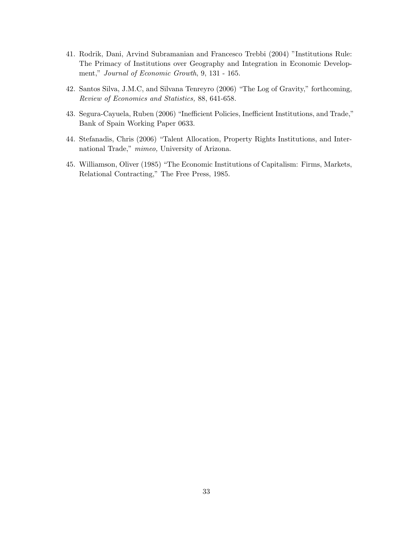- 41. Rodrik, Dani, Arvind Subramanian and Francesco Trebbi (2004) "Institutions Rule: The Primacy of Institutions over Geography and Integration in Economic Development," Journal of Economic Growth, 9, 131 - 165.
- 42. Santos Silva, J.M.C, and Silvana Tenreyro (2006) "The Log of Gravity," forthcoming, Review of Economics and Statistics, 88, 641-658.
- 43. Segura-Cayuela, Ruben (2006) "Inefficient Policies, Inefficient Institutions, and Trade," Bank of Spain Working Paper 0633.
- 44. Stefanadis, Chris (2006) "Talent Allocation, Property Rights Institutions, and International Trade," mimeo, University of Arizona.
- 45. Williamson, Oliver (1985) "The Economic Institutions of Capitalism: Firms, Markets, Relational Contracting," The Free Press, 1985.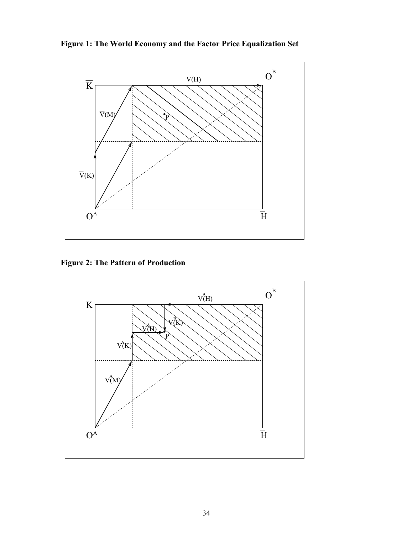**Figure 1: The World Economy and the Factor Price Equalization Set** 



 **Figure 2: The Pattern of Production** 

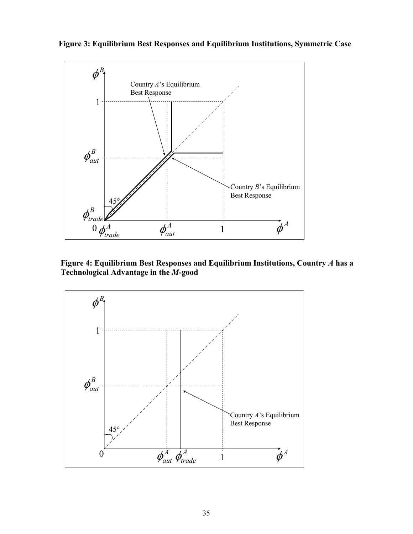

 **Figure 3: Equilibrium Best Responses and Equilibrium Institutions, Symmetric Case** 

**Figure 4: Equilibrium Best Responses and Equilibrium Institutions, Country** *A* **has a Technological Advantage in the** *M***-good** 

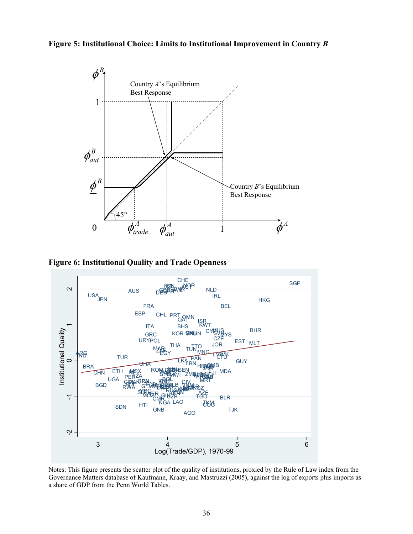

**Figure 5: Institutional Choice: Limits to Institutional Improvement in Country** *B*

 **Figure 6: Institutional Quality and Trade Openness** 



Notes: This figure presents the scatter plot of the quality of institutions, proxied by the Rule of Law index from the Governance Matters database of Kaufmann, Kraay, and Mastruzzi (2005), against the log of exports plus imports as a share of GDP from the Penn World Tables.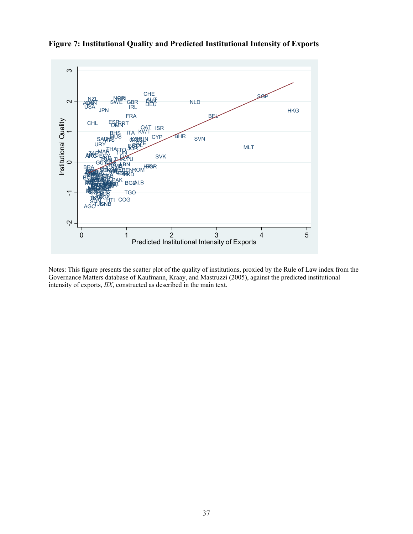

**Figure 7: Institutional Quality and Predicted Institutional Intensity of Exports** 

Notes: This figure presents the scatter plot of the quality of institutions, proxied by the Rule of Law index from the Governance Matters database of Kaufmann, Kraay, and Mastruzzi (2005), against the predicted institutional intensity of exports, *IIX*, constructed as described in the main text.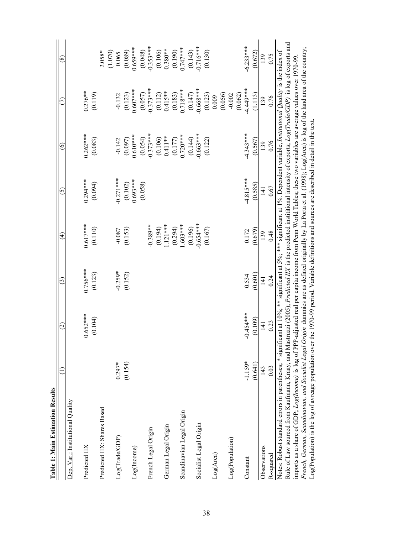| i        |  |
|----------|--|
|          |  |
| timation |  |
|          |  |
| č        |  |
|          |  |
| Ħ        |  |
|          |  |
|          |  |
| ត        |  |
|          |  |

| Table 1: Main Estimation Results                                                                                                                                           |           |                 |                        |                          |                  |                          |                     |                          |
|----------------------------------------------------------------------------------------------------------------------------------------------------------------------------|-----------|-----------------|------------------------|--------------------------|------------------|--------------------------|---------------------|--------------------------|
|                                                                                                                                                                            |           | $\widehat{c}$   | $\widehat{\mathbf{c}}$ | $\widehat{\mathfrak{t}}$ | <u>ර</u>         | $\circledcirc$           |                     | $\circledast$            |
| Dep. Var.: Institutional Quality                                                                                                                                           |           |                 |                        |                          |                  |                          |                     |                          |
| Predicted IIX                                                                                                                                                              |           | $0.652***$      | $0.756***$             | $0.617***$               | $0.294***$       | $0.262***$               | $0.276**$           |                          |
|                                                                                                                                                                            |           | (0.104)         | (0.123)                | (0.110)                  | (0.094)          | (0.083)                  | (0.119)             |                          |
| Predicted IIX: Shares Based                                                                                                                                                |           |                 |                        |                          |                  |                          |                     | (1.070)<br>$2.058*$      |
| Log(Trade(GDP))                                                                                                                                                            | $0.297*$  |                 | $-0.259*$              | $-0.087$                 | $-0.271***$      | $-0.142$                 | $-0.132$            | 0.065                    |
|                                                                                                                                                                            | (0.154)   |                 | (0.152)                | (0.153)                  | (0.102)          | (0.097)                  | (0.123)             | (0.089)                  |
| Log(Income)                                                                                                                                                                |           |                 |                        |                          | $0.693***$       | $0.610***$               | $0.607***$          | $0.659***$               |
|                                                                                                                                                                            |           |                 |                        |                          | (0.058)          | $(0.054)$<br>$-0.373***$ | (0.057)             | $(0.048)$<br>$-0.353***$ |
| French Legal Origin                                                                                                                                                        |           |                 |                        | $-0.389**$               |                  |                          | $0.373***$          |                          |
|                                                                                                                                                                            |           |                 |                        | (0.194)                  |                  | (0.106)                  | (0.112)             | (0.106)                  |
| German Legal Origin                                                                                                                                                        |           |                 |                        | $121***$                 |                  | $0.411***$               | $0.415***$          | $0.380**$                |
|                                                                                                                                                                            |           |                 |                        | (0.294)                  |                  | (0.177)                  | (0.183)             | $(0.190)$<br>$0.747***$  |
| Scandinavian Legal Origin                                                                                                                                                  |           |                 |                        | $603***$                 |                  | $0.720***$               | $0.718***$          |                          |
|                                                                                                                                                                            |           |                 |                        | (0.196)                  |                  | (0.144)                  | (0.147)             | (0.143)                  |
| Socialist Legal Origin                                                                                                                                                     |           |                 |                        | $-0.654***$              |                  | $0.663***$               | $***899.0$          | $0.716***$               |
|                                                                                                                                                                            |           |                 |                        | (0.167)                  |                  | (0.122)                  | (0.123)             | (0.130)                  |
| Log(Area)                                                                                                                                                                  |           |                 |                        |                          |                  |                          | 0.009               |                          |
|                                                                                                                                                                            |           |                 |                        |                          |                  |                          | (0.056)<br>$-0.002$ |                          |
| Log(Population)                                                                                                                                                            |           |                 |                        |                          |                  |                          | (0.062)             |                          |
| Constant                                                                                                                                                                   | $-1.159*$ | $-0.454***$     | 0.534                  | 0.172                    | $-4.815***$      | $4.343***$               | 4.449***            | $-6.233***$              |
|                                                                                                                                                                            | (0.641)   | (0.109)         | (0.601)                | (0.679)                  | (0.585)          | (0.567)                  | 1.113               | (0.672)                  |
| Observations                                                                                                                                                               | 143       | $\overline{14}$ | $\overline{141}$       | 139                      | $\overline{141}$ | 139                      | 139                 | 139                      |
| R-squared                                                                                                                                                                  | 0.03      | 0.23            | 0.24                   | 0.48                     | 0.67             | 0.76                     | 0.76                | 0.75                     |
| Notes: Robust standard errors in parentheses; * significant at 10%; ** significant at 5%; *** significant at 1%. Dependent variable, Institutional Quality is the index of |           |                 |                        |                          |                  |                          |                     |                          |
| Rule of Law sourced from Kaufmann, Kraay, and Mastruzzi (2005); Predicted IIX is the predicted instititional intensity of exports; Log(Trade/GDP) is log of exports and    |           |                 |                        |                          |                  |                          |                     |                          |
| imports as a share of GDP; Log(Income) is log of PPP-adjusted real per capita income from Penn World Tables; these two variables are average values over 1970-99           |           |                 |                        |                          |                  |                          |                     |                          |
| French, German, Scandinavian, and Socialist Legal Origin dummies are as defined originally by La Porta et al. (1998); Log(Area) is log of the land area of the country;    |           |                 |                        |                          |                  |                          |                     |                          |
| Log(Population) is the log of avreage population over the 1970-99 period. Variable definitions and sources are described in detail in the text.                            |           |                 |                        |                          |                  |                          |                     |                          |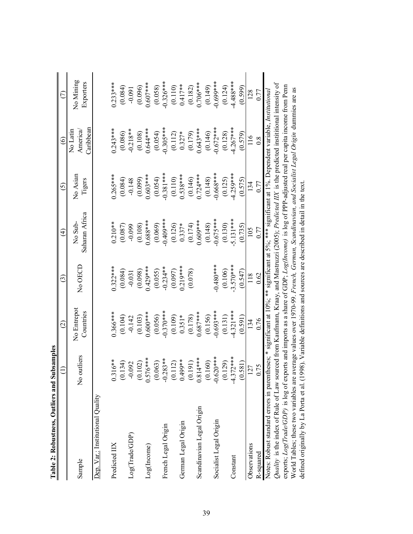| Table 2: Robustness, Outliers and Sul                                                                                                             | bsamples                  |                          |             |                                                                                                            |                    |                                  |                        |
|---------------------------------------------------------------------------------------------------------------------------------------------------|---------------------------|--------------------------|-------------|------------------------------------------------------------------------------------------------------------|--------------------|----------------------------------|------------------------|
|                                                                                                                                                   |                           | $\widehat{\omega}$       | ල           | $\widehat{t}$                                                                                              | $\odot$            | ତ୍ର                              | E                      |
| Sample                                                                                                                                            | No outliers               | No Entrepot<br>Countries | No OECD     | Saharan Africa<br>No Sub-                                                                                  | No Asian<br>Tigers | Caribbean<br>No Latin<br>America | No Mining<br>Exporters |
| Dep. Var.: Institutional Quality                                                                                                                  |                           |                          |             |                                                                                                            |                    |                                  |                        |
| Predicted IIX                                                                                                                                     | $6**$<br>0.31             | $0.366***$               | $0.322***$  | $0.210**$                                                                                                  | $0.265***$         | $0.243***$                       | $0.233***$             |
|                                                                                                                                                   | 134)<br>$\overline{0}$ .  | (0.104)                  | (0.084)     | (0.087)                                                                                                    | (0.084)            | (0.086)                          | (0.084)                |
| Log(Trade/GDP)                                                                                                                                    | $-0.092$                  | $-0.142$                 | $-0.031$    | $-0.099$                                                                                                   | $-0.148$           | $-0.218**$                       | $-0.091$               |
|                                                                                                                                                   | (0.102)                   | (0.103)                  | (0.098)     | (0.108)                                                                                                    | (0.099)            | (0.108)                          | (0.096)                |
| Log(Income)                                                                                                                                       | $0.576***$                | $0.600***$               | $0.429***$  | $0.688***$                                                                                                 | $0.603***$         | $0.644***$                       | $0.607***$             |
|                                                                                                                                                   | (63)<br>$\ddot{0}$        | (0.056)                  | (0.055)     | (0.069)                                                                                                    | (0.054)            | (0.054)                          | (0.058)                |
| French Legal Origin                                                                                                                               | $-0.283**$                | $-0.370***$              | $-0.234**$  | $0.409***$                                                                                                 | $-0.381***$        | $0.305***$                       | $0.326***$             |
|                                                                                                                                                   | (0.112)                   | (0.109)                  | (0.097)     | (0.126)                                                                                                    | (0.110)            | (0.112)                          | (0.110)                |
| German Legal Origin                                                                                                                               | 0.499**                   | $0.351*$                 | $0.219***$  | $0.337*$                                                                                                   | $0.538***$         | $0.327*$                         | $0.417**$              |
|                                                                                                                                                   | (10)<br>(0.1)             | (0.178)                  | (0.078)     | (0.174)                                                                                                    | (0.146)            | (0.179)                          | (0.182)                |
| Scandinavian Legal Origin                                                                                                                         | $0.814***$                | $0.687***$               |             | $0.609***$                                                                                                 | $0.724***$         | $0.643***$                       | $0.706***$             |
|                                                                                                                                                   | (0.160)                   | (0.156)                  |             | (0.148)                                                                                                    | (0.148)            | (0.146)                          | (0.149)                |
| Socialist Legal Origin                                                                                                                            | $-0.620***$               | $0.693***$               | $0.480***$  | $0.675***$                                                                                                 | $0.668***$         | $0.672***$                       | $0.699***$             |
|                                                                                                                                                   | (0.129)                   | (0.131)                  | (0.106)     | (0.130)                                                                                                    | (0.125)            | (0.128)                          | (0.124)                |
| Constant                                                                                                                                          | $2***$<br>$-4.37$         | 4.321 ***                | $-3.570***$ | 5.131***                                                                                                   | 4.259***           | $4.267***$                       | 4.488***               |
|                                                                                                                                                   | (18)<br>$\overline{6}$ .0 | (0.591)                  | (0.547)     | (0.735)                                                                                                    | (0.575)            | (0.579)                          | (0.599)                |
| Observations                                                                                                                                      | 127                       | 134                      | 118         | 105                                                                                                        | 134                | $\frac{6}{1}$                    | 128                    |
| R-squared                                                                                                                                         | 0.75                      | 0.76                     | 0.62        | 0.77                                                                                                       | 0.77               | $0.\overline{8}$                 | 0.77                   |
| Notes: Robust standard errors in parenth                                                                                                          |                           |                          |             | eses; * significant at 10%; ** significant at 5%; *** significant at 1%. Dependent variable, Institutional |                    |                                  |                        |
| Quality is the index of Rule of Law sourced from Kaufmann, Kraay, and Mastruzzi (2005); Predicted IIX is the predicted institutional intensity of |                           |                          |             |                                                                                                            |                    |                                  |                        |
| exports; $Log(Trade/GDP)$ is log of exports and imports as a share of GDP; $Log(Income)$ is log of PPP-adjusted real per capita income from Penn  |                           |                          |             |                                                                                                            |                    |                                  |                        |
| World Tables; these two variables are average values over 1970-99. French, German, Scandinavian, and Socialist Legal Origin dummies are as        |                           |                          |             |                                                                                                            |                    |                                  |                        |
| defined originally by La Porta et al. (1998). Variable definitions and sources are described in detail in the text                                |                           |                          |             |                                                                                                            |                    |                                  |                        |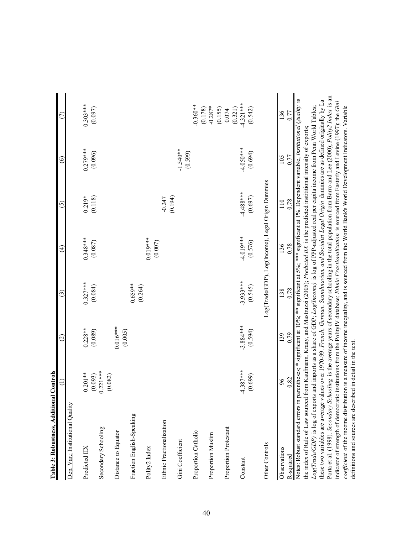| Table 3: Robustness, Additional (                                                                                                                                                                                                                                                                                                                                                                                                                                                                                                                                                                                                                                                                                                                                                                                                                                                                                                                                                                                                                                                                                                                                                                 | Controls              |                       |                                                   |                       |                     |                   |                      |
|---------------------------------------------------------------------------------------------------------------------------------------------------------------------------------------------------------------------------------------------------------------------------------------------------------------------------------------------------------------------------------------------------------------------------------------------------------------------------------------------------------------------------------------------------------------------------------------------------------------------------------------------------------------------------------------------------------------------------------------------------------------------------------------------------------------------------------------------------------------------------------------------------------------------------------------------------------------------------------------------------------------------------------------------------------------------------------------------------------------------------------------------------------------------------------------------------|-----------------------|-----------------------|---------------------------------------------------|-----------------------|---------------------|-------------------|----------------------|
|                                                                                                                                                                                                                                                                                                                                                                                                                                                                                                                                                                                                                                                                                                                                                                                                                                                                                                                                                                                                                                                                                                                                                                                                   |                       | $\widehat{\omega}$    | $\widehat{c}$                                     | $\widehat{E}$         | 6)                  | $\widehat{\circ}$ |                      |
| Dep. Var.: Institutional Quality                                                                                                                                                                                                                                                                                                                                                                                                                                                                                                                                                                                                                                                                                                                                                                                                                                                                                                                                                                                                                                                                                                                                                                  |                       |                       |                                                   |                       |                     |                   |                      |
| Predicted IIX                                                                                                                                                                                                                                                                                                                                                                                                                                                                                                                                                                                                                                                                                                                                                                                                                                                                                                                                                                                                                                                                                                                                                                                     | $0.201**$             | $0.228**$             | $0.327***$                                        | $0.348***$            | $0.219*$            | $0.279***$        | $0.303***$           |
|                                                                                                                                                                                                                                                                                                                                                                                                                                                                                                                                                                                                                                                                                                                                                                                                                                                                                                                                                                                                                                                                                                                                                                                                   | (0.093)               | (0.089)               | (0.084)                                           | (0.087)               | (0.118)             | (0.096)           | (0.097)              |
| Secondary Schooling                                                                                                                                                                                                                                                                                                                                                                                                                                                                                                                                                                                                                                                                                                                                                                                                                                                                                                                                                                                                                                                                                                                                                                               | $0.221***$<br>(0.082) |                       |                                                   |                       |                     |                   |                      |
| Distance to Equator                                                                                                                                                                                                                                                                                                                                                                                                                                                                                                                                                                                                                                                                                                                                                                                                                                                                                                                                                                                                                                                                                                                                                                               |                       | $0.016***$<br>(0.005) |                                                   |                       |                     |                   |                      |
| Fraction English-Speaking                                                                                                                                                                                                                                                                                                                                                                                                                                                                                                                                                                                                                                                                                                                                                                                                                                                                                                                                                                                                                                                                                                                                                                         |                       |                       | $0.659**$<br>(0.264)                              |                       |                     |                   |                      |
| Polity2 Index                                                                                                                                                                                                                                                                                                                                                                                                                                                                                                                                                                                                                                                                                                                                                                                                                                                                                                                                                                                                                                                                                                                                                                                     |                       |                       |                                                   | $0.019***$<br>(0.007) |                     |                   |                      |
| Ethnic Fractionalization                                                                                                                                                                                                                                                                                                                                                                                                                                                                                                                                                                                                                                                                                                                                                                                                                                                                                                                                                                                                                                                                                                                                                                          |                       |                       |                                                   |                       | (0.194)<br>$-0.247$ |                   |                      |
| Gini Coefficient                                                                                                                                                                                                                                                                                                                                                                                                                                                                                                                                                                                                                                                                                                                                                                                                                                                                                                                                                                                                                                                                                                                                                                                  |                       |                       |                                                   |                       |                     | $-1.540**$        |                      |
|                                                                                                                                                                                                                                                                                                                                                                                                                                                                                                                                                                                                                                                                                                                                                                                                                                                                                                                                                                                                                                                                                                                                                                                                   |                       |                       |                                                   |                       |                     | (0.599)           | $0.360**$            |
| Proportion Catholic                                                                                                                                                                                                                                                                                                                                                                                                                                                                                                                                                                                                                                                                                                                                                                                                                                                                                                                                                                                                                                                                                                                                                                               |                       |                       |                                                   |                       |                     |                   | (0.178)              |
| Proportion Muslim                                                                                                                                                                                                                                                                                                                                                                                                                                                                                                                                                                                                                                                                                                                                                                                                                                                                                                                                                                                                                                                                                                                                                                                 |                       |                       |                                                   |                       |                     |                   | $-0.287*$<br>(0.155) |
| Proportion Protestant                                                                                                                                                                                                                                                                                                                                                                                                                                                                                                                                                                                                                                                                                                                                                                                                                                                                                                                                                                                                                                                                                                                                                                             |                       |                       |                                                   |                       |                     |                   | (0.321)<br>0.074     |
| Constant                                                                                                                                                                                                                                                                                                                                                                                                                                                                                                                                                                                                                                                                                                                                                                                                                                                                                                                                                                                                                                                                                                                                                                                          | $-4.387***$           | $-3.884***$           | $-3.933***$                                       | 4.019**               | $-4.488***$         | $-4.050$ ***      | $-4.321***$          |
|                                                                                                                                                                                                                                                                                                                                                                                                                                                                                                                                                                                                                                                                                                                                                                                                                                                                                                                                                                                                                                                                                                                                                                                                   | (0.699)               | (0.594)               | (0.545)                                           | (0.576)               | (0.697)             | (0.694)           | (0.542)              |
| Other Controls                                                                                                                                                                                                                                                                                                                                                                                                                                                                                                                                                                                                                                                                                                                                                                                                                                                                                                                                                                                                                                                                                                                                                                                    |                       |                       | Log(Trade/GDP), Log(Income), Legal Origin Dummies |                       |                     |                   |                      |
| Observations                                                                                                                                                                                                                                                                                                                                                                                                                                                                                                                                                                                                                                                                                                                                                                                                                                                                                                                                                                                                                                                                                                                                                                                      | 0.82<br>96            | 139                   | 0.78<br>138                                       | 136                   | $\frac{10}{10}$     | 105<br>0.77       | 136<br>0.77          |
| Porta et al. (1998). Secondary Schooling is the average years of secondary schooling in the total population from Barro and Lee (2000); Polity2 Index is an<br>Notes: Robust standard errors in parentheses; * significant at 10%; ** significant at 5%; *** significant at 1%. Dependent variable, Institutional Quality is<br>these two variables are average values over 1970-99. French, German, Scandinavian, and Socialist Legal Origin dummies are as defined originally by La<br>indicator of strength of democratic institutions from the PolityIV database; Ethnic Fractionalization is sourced from Easterly and Levine (1997); the Gini<br>coefficient of the income distribution is a measure of income inequality, and is sourced from the World Bank's World Development Indicators. Variable<br>Log(Trade/GDP) is log of exports and imports as a share of GDP; Log(Income) is log of PPP-adjusted real per capita income from Penn World Tables;<br>the index of Rule of Law sourced from Kaufmann, Kraay, and Mastruzzi (2005); Predicted IIX is the predicted institutional intensity of exports;<br>definitions and sources are described in detail in the text.<br>R-squared |                       | 0.79                  |                                                   | 0.78                  | 0.78                |                   |                      |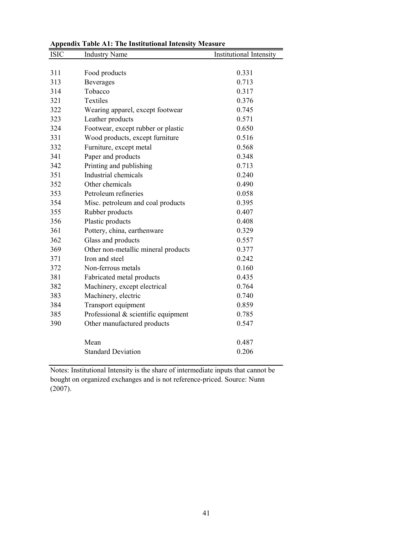| <b>ISIC</b> | <b>Industry Name</b>                | Institutional Intensity |
|-------------|-------------------------------------|-------------------------|
|             |                                     |                         |
| 311         | Food products                       | 0.331                   |
| 313         | <b>Beverages</b>                    | 0.713                   |
| 314         | Tobacco                             | 0.317                   |
| 321         | Textiles                            | 0.376                   |
| 322         | Wearing apparel, except footwear    | 0.745                   |
| 323         | Leather products                    | 0.571                   |
| 324         | Footwear, except rubber or plastic  | 0.650                   |
| 331         | Wood products, except furniture     | 0.516                   |
| 332         | Furniture, except metal             | 0.568                   |
| 341         | Paper and products                  | 0.348                   |
| 342         | Printing and publishing             | 0.713                   |
| 351         | Industrial chemicals                | 0.240                   |
| 352         | Other chemicals                     | 0.490                   |
| 353         | Petroleum refineries                | 0.058                   |
| 354         | Misc. petroleum and coal products   | 0.395                   |
| 355         | Rubber products                     | 0.407                   |
| 356         | Plastic products                    | 0.408                   |
| 361         | Pottery, china, earthenware         | 0.329                   |
| 362         | Glass and products                  | 0.557                   |
| 369         | Other non-metallic mineral products | 0.377                   |
| 371         | Iron and steel                      | 0.242                   |
| 372         | Non-ferrous metals                  | 0.160                   |
| 381         | Fabricated metal products           | 0.435                   |
| 382         | Machinery, except electrical        | 0.764                   |
| 383         | Machinery, electric                 | 0.740                   |
| 384         | Transport equipment                 | 0.859                   |
| 385         | Professional & scientific equipment | 0.785                   |
| 390         | Other manufactured products         | 0.547                   |
|             | Mean                                | 0.487                   |
|             | <b>Standard Deviation</b>           | 0.206                   |

**Appendix Table A1: The Institutional Intensity Measure**

Notes: Institutional Intensity is the share of intermediate inputs that cannot be bought on organized exchanges and is not reference-priced. Source: Nunn (2007).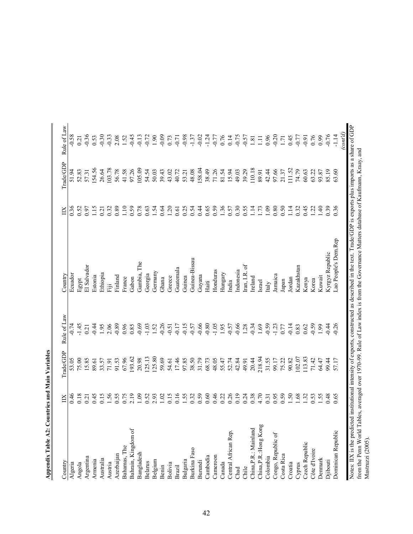| Argentina<br>Armenia<br>Algeria<br>Angola   |      | Trade/GDP | Rule of Law |                                                                                                                                                                                                                                                                             |                 | Trade/GDP | Rule of Law                  |
|---------------------------------------------|------|-----------|-------------|-----------------------------------------------------------------------------------------------------------------------------------------------------------------------------------------------------------------------------------------------------------------------------|-----------------|-----------|------------------------------|
|                                             | 6.46 | 53.05     | $-0.74$     | Ecuador                                                                                                                                                                                                                                                                     | 0.36            | 51.94     | $-0.58$                      |
|                                             | 0.18 | 75.00     | $-1.45$     | Egypt                                                                                                                                                                                                                                                                       | 0.52            | 52.83     | 0.21                         |
|                                             | 0.21 | 15.85     | 0.21        | El Salvador                                                                                                                                                                                                                                                                 | 0.97            | 57.31     | 0.36                         |
|                                             | 0.45 | 89.61     | $-0.44$     | Estonia                                                                                                                                                                                                                                                                     | 15              | 154.56    | 0.53                         |
| Australia                                   | 0.15 | 33.57     | 1.95        | Ethiopia                                                                                                                                                                                                                                                                    | 0.21            | 26.64     | $-0.30$                      |
| Austria                                     | 1.56 | 71.91     | 2.06        | iπ                                                                                                                                                                                                                                                                          | 0.32            | 103.78    | $-0.33$                      |
| Azerbaijan                                  | 0.55 | 91.53     | $-0.89$     | Finland                                                                                                                                                                                                                                                                     | 0.89            | 56.78     | 2.08                         |
| Bahamas, The                                | 0.75 | 67.96     | 0.96        | France                                                                                                                                                                                                                                                                      | 10              | 41.58     | 1.52                         |
| Bahrain, Kingdom of                         | 2.19 | 193.62    | 0.85        | Gabon                                                                                                                                                                                                                                                                       | 0.59            | 97.26     | $-0.45$                      |
| Bangladesh                                  | 1.09 | 20.98     | $-0.69$     | Gambia, The                                                                                                                                                                                                                                                                 | 0.78            | 105.09    | $-0.13$                      |
| Belarus                                     | 0.52 | 125.13    | $-1.03$     | Georgia                                                                                                                                                                                                                                                                     | 0.63            | 54.54     | $-0.72$                      |
| Belgium                                     | 2.93 | 125.80    | 1.52        | Germany                                                                                                                                                                                                                                                                     | 1.54            | 50.03     | 1.90                         |
| Benin                                       | 1.02 | 59.69     | $-0.26$     | Ghana                                                                                                                                                                                                                                                                       | 0.64            | 39.43     | $-0.09$                      |
| Bolivia                                     | 0.15 | 54.61     | $-0.51$     | Greece                                                                                                                                                                                                                                                                      | 1.20            | 43.02     | 0.73                         |
| Brazil                                      | 0.16 | 17.46     | $-0.17$     | Guatemala                                                                                                                                                                                                                                                                   | 0.61            | 40.72     | $-0.71$                      |
| Bulgaria                                    | 1.55 | 97.85     | $-0.15$     | Guinea                                                                                                                                                                                                                                                                      | 0.25            | 53.21     | $-0.98$                      |
| Burkina Faso                                | 0.32 | 38.50     | $-0.57$     | Guinea-Bissau                                                                                                                                                                                                                                                               | 0.54            | 48.08     | $-1.37$                      |
| Burundi                                     | 0.59 | 31.79     | $-0.66$     | Guyana                                                                                                                                                                                                                                                                      | 0.44            | 158.04    | $-0.02$                      |
| Cambodia                                    | 0.60 | 68.73     | $-0.80$     | Haiti                                                                                                                                                                                                                                                                       | 0.65            | 38.49     |                              |
| Cameroon                                    | 0.46 | 48.05     | $-1.05$     | Honduras                                                                                                                                                                                                                                                                    | 0.59            | 71.26     | $-1.24$<br>$-0.77$<br>0.76   |
| Canada                                      | 0.22 | 55.47     | 1.95        | Hungary                                                                                                                                                                                                                                                                     | 1.36            | 81.54     |                              |
| Central African Rep.                        | 0.26 | 52.74     | $-0.57$     | India                                                                                                                                                                                                                                                                       | 0.57            | 15.94     | 0.14                         |
| Chad                                        | 0.19 | 42.84     | $-0.66$     | ndonesia                                                                                                                                                                                                                                                                    | 0.30            | 49.03     | $-0.75$                      |
| Chile                                       | 0.24 | 49.91     | 1.28        | $tran, I.R.$ of                                                                                                                                                                                                                                                             | 0.55            | 39.29     | $-0.57$                      |
| China, P.R.: Mainland                       | 0.38 | 20.44     | $-0.34$     | reland                                                                                                                                                                                                                                                                      | $\Xi$           | 110.18    | $1.81\,$                     |
| China, P.R.: Hong Kong                      | 4.70 | 218.94    | 1.69        | Israel                                                                                                                                                                                                                                                                      | 1.73            | 89.91     | $\Xi$                        |
| Colombia                                    | 0.31 | 31.55     | $-0.59$     | Italy                                                                                                                                                                                                                                                                       | 0.09            | 42.44     | 0.96                         |
| Congo, Republic of                          | 0.95 | 99.17     | $-1.23$     | Jamaica                                                                                                                                                                                                                                                                     | 0.80            | 97.66     | $-0.20$                      |
| Costa Rica                                  | 0.59 | 75.22     | 0.77        | Japan                                                                                                                                                                                                                                                                       | 0.50            | 21.37     | 1.71                         |
| Croatia                                     | 1.50 | 90.82     | $-0.14$     | Jordan                                                                                                                                                                                                                                                                      | 1.14            | 111.52    | 0.45                         |
| Cyprus                                      | 1.68 | 102.07    | 0.83        | Kazakhstan                                                                                                                                                                                                                                                                  | 0.32            | 74.79     | $-0.77$                      |
| Czech Republic                              | 1.32 | 113.83    | 0.62        | Kenya                                                                                                                                                                                                                                                                       | 0.45            | 60.63     | $-0.91$                      |
| Côte d'Ivoire                               | 0.53 | 71.42     | $-0.59$     | Korea                                                                                                                                                                                                                                                                       | $\overline{22}$ | 63.22     | 0.76                         |
| Denmark                                     | 1.55 | 64.47     | 1.99        | Kuwait                                                                                                                                                                                                                                                                      | 1.40            | 93.87     | <b>660</b>                   |
| Djibouti                                    | 0.48 | 99.44     | $-0.44$     | Kyrgyz Republic                                                                                                                                                                                                                                                             | 0.39            | 85.19     | $-0.76$                      |
| Dominican Republic                          | 0.65 | 57.17     | 0.26        | Lao People's Dem.Rep                                                                                                                                                                                                                                                        | 0.36            | 63.60     | $-1.14$                      |
|                                             |      |           |             |                                                                                                                                                                                                                                                                             |                 |           | $\left(\text{cont'}d\right)$ |
| from the Penn World Ta<br>Mastruzzi (2005). |      |           |             | Notes: IIX is the predicted institutional intensity of exports, constructed as described in the text. Trade/GDP is exports plus imports as a share of GDP<br>bles, averaged over 1970-99. Rule of Law index is from the Governance Matters database of Kaufmann, Kraay, and |                 |           |                              |

Appendix Table A2: Countries and Main Variables **Appendix Table A2: Countries and Main Variables**